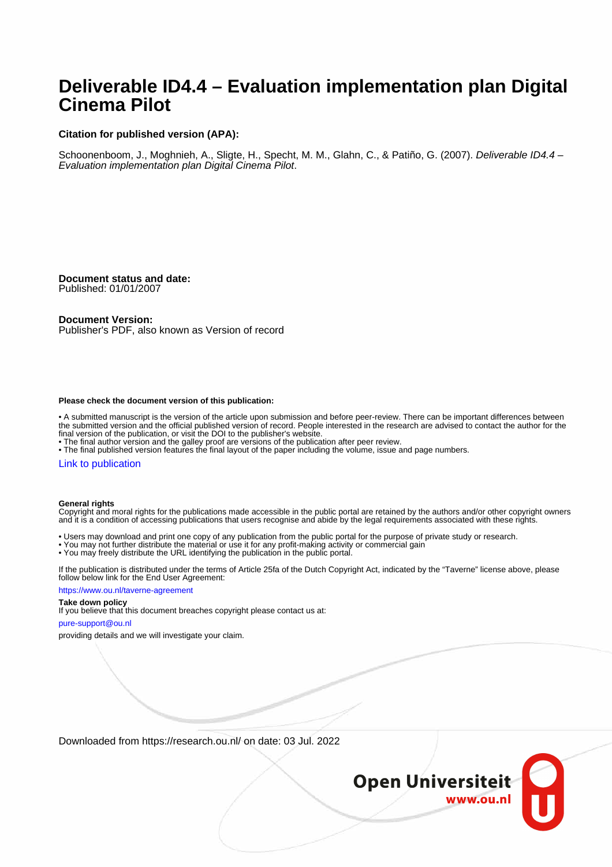# **Deliverable ID4.4 – Evaluation implementation plan Digital Cinema Pilot**

#### **Citation for published version (APA):**

Schoonenboom, J., Moghnieh, A., Sligte, H., Specht, M. M., Glahn, C., & Patiño, G. (2007). Deliverable ID4.4 – Evaluation implementation plan Digital Cinema Pilot.

**Document status and date:** Published: 01/01/2007

**Document Version:** Publisher's PDF, also known as Version of record

#### **Please check the document version of this publication:**

• A submitted manuscript is the version of the article upon submission and before peer-review. There can be important differences between the submitted version and the official published version of record. People interested in the research are advised to contact the author for the final version of the publication, or visit the DOI to the publisher's website.

• The final author version and the galley proof are versions of the publication after peer review.

• The final published version features the final layout of the paper including the volume, issue and page numbers.

#### [Link to publication](https://research.ou.nl/en/publications/c1743c16-0895-41c9-bae9-1d110bbd47b6)

#### **General rights**

Copyright and moral rights for the publications made accessible in the public portal are retained by the authors and/or other copyright owners and it is a condition of accessing publications that users recognise and abide by the legal requirements associated with these rights.

• Users may download and print one copy of any publication from the public portal for the purpose of private study or research.

- You may not further distribute the material or use it for any profit-making activity or commercial gain
- You may freely distribute the URL identifying the publication in the public portal.

If the publication is distributed under the terms of Article 25fa of the Dutch Copyright Act, indicated by the "Taverne" license above, please follow below link for the End User Agreement:

#### https://www.ou.nl/taverne-agreement

#### **Take down policy**

If you believe that this document breaches copyright please contact us at:

#### pure-support@ou.nl

providing details and we will investigate your claim.

Downloaded from https://research.ou.nl/ on date: 03 Jul. 2022

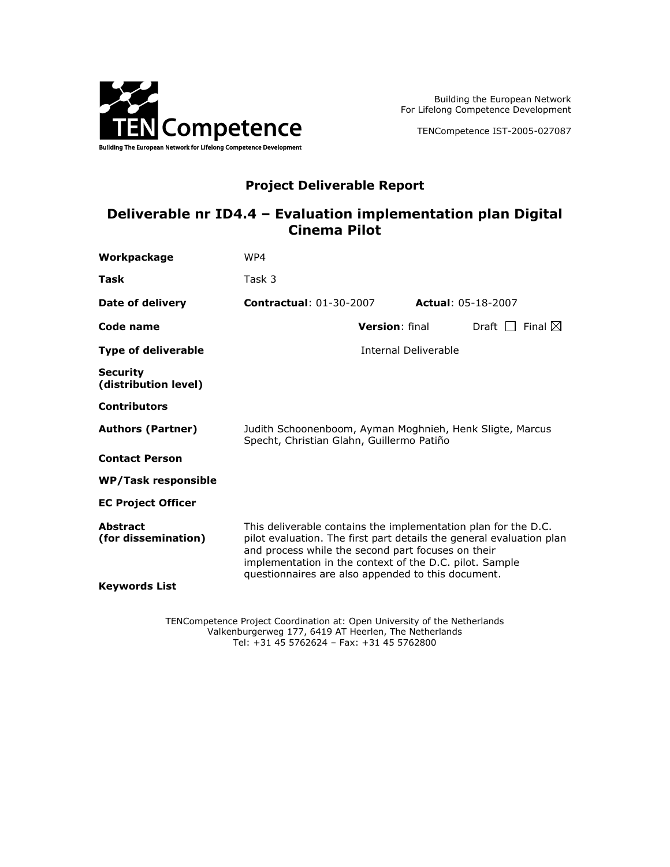

Building the European Network For Lifelong Competence Development

TENCompetence IST-2005-027087

### **Project Deliverable Report**

### **Deliverable nr ID4.4 – Evaluation implementation plan Digital Cinema Pilot**

| Workpackage                             | WP4                                                                                                                                                                                                                                                                                                           |                       |                           |                                |  |  |
|-----------------------------------------|---------------------------------------------------------------------------------------------------------------------------------------------------------------------------------------------------------------------------------------------------------------------------------------------------------------|-----------------------|---------------------------|--------------------------------|--|--|
| Task                                    | Task 3                                                                                                                                                                                                                                                                                                        |                       |                           |                                |  |  |
| Date of delivery                        | <b>Contractual: 01-30-2007</b>                                                                                                                                                                                                                                                                                |                       | <b>Actual: 05-18-2007</b> |                                |  |  |
| Code name                               |                                                                                                                                                                                                                                                                                                               | <b>Version: final</b> |                           | Draft $\Box$ Final $\boxtimes$ |  |  |
| <b>Type of deliverable</b>              |                                                                                                                                                                                                                                                                                                               | Internal Deliverable  |                           |                                |  |  |
| <b>Security</b><br>(distribution level) |                                                                                                                                                                                                                                                                                                               |                       |                           |                                |  |  |
| <b>Contributors</b>                     |                                                                                                                                                                                                                                                                                                               |                       |                           |                                |  |  |
| <b>Authors (Partner)</b>                | Judith Schoonenboom, Ayman Moghnieh, Henk Sligte, Marcus<br>Specht, Christian Glahn, Guillermo Patiño                                                                                                                                                                                                         |                       |                           |                                |  |  |
| <b>Contact Person</b>                   |                                                                                                                                                                                                                                                                                                               |                       |                           |                                |  |  |
| <b>WP/Task responsible</b>              |                                                                                                                                                                                                                                                                                                               |                       |                           |                                |  |  |
| <b>EC Project Officer</b>               |                                                                                                                                                                                                                                                                                                               |                       |                           |                                |  |  |
| <b>Abstract</b><br>(for dissemination)  | This deliverable contains the implementation plan for the D.C.<br>pilot evaluation. The first part details the general evaluation plan<br>and process while the second part focuses on their<br>implementation in the context of the D.C. pilot. Sample<br>questionnaires are also appended to this document. |                       |                           |                                |  |  |
| <b>Keywords List</b>                    |                                                                                                                                                                                                                                                                                                               |                       |                           |                                |  |  |

TENCompetence Project Coordination at: Open University of the Netherlands Valkenburgerweg 177, 6419 AT Heerlen, The Netherlands Tel: +31 45 5762624 – Fax: +31 45 5762800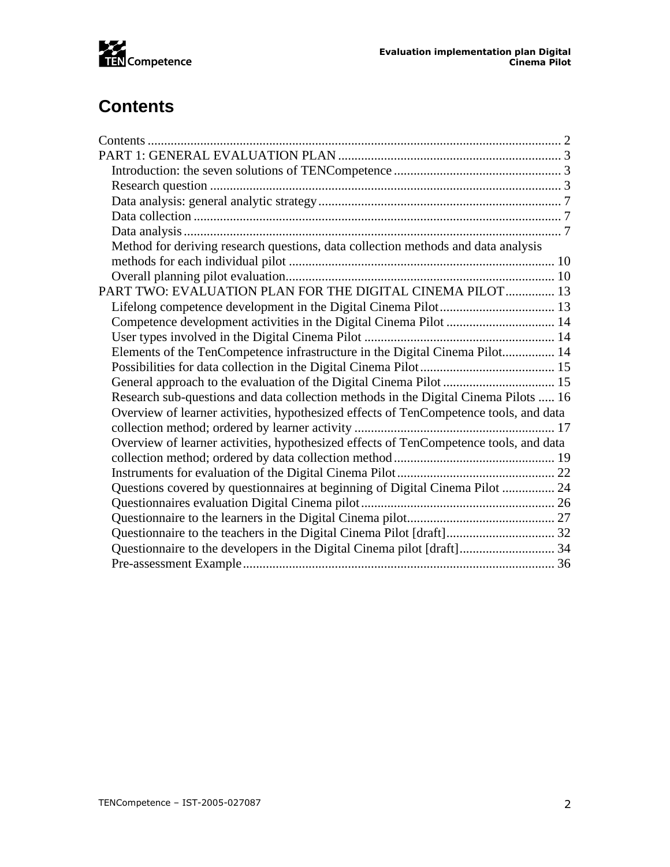

# <span id="page-2-0"></span>**Contents**

| Method for deriving research questions, data collection methods and data analysis     |  |
|---------------------------------------------------------------------------------------|--|
|                                                                                       |  |
|                                                                                       |  |
| PART TWO: EVALUATION PLAN FOR THE DIGITAL CINEMA PILOT 13                             |  |
|                                                                                       |  |
| Competence development activities in the Digital Cinema Pilot  14                     |  |
|                                                                                       |  |
| Elements of the TenCompetence infrastructure in the Digital Cinema Pilot 14           |  |
|                                                                                       |  |
|                                                                                       |  |
| Research sub-questions and data collection methods in the Digital Cinema Pilots  16   |  |
| Overview of learner activities, hypothesized effects of TenCompetence tools, and data |  |
|                                                                                       |  |
| Overview of learner activities, hypothesized effects of TenCompetence tools, and data |  |
|                                                                                       |  |
|                                                                                       |  |
| Questions covered by questionnaires at beginning of Digital Cinema Pilot  24          |  |
|                                                                                       |  |
|                                                                                       |  |
| Questionnaire to the teachers in the Digital Cinema Pilot [draft] 32                  |  |
|                                                                                       |  |
|                                                                                       |  |
|                                                                                       |  |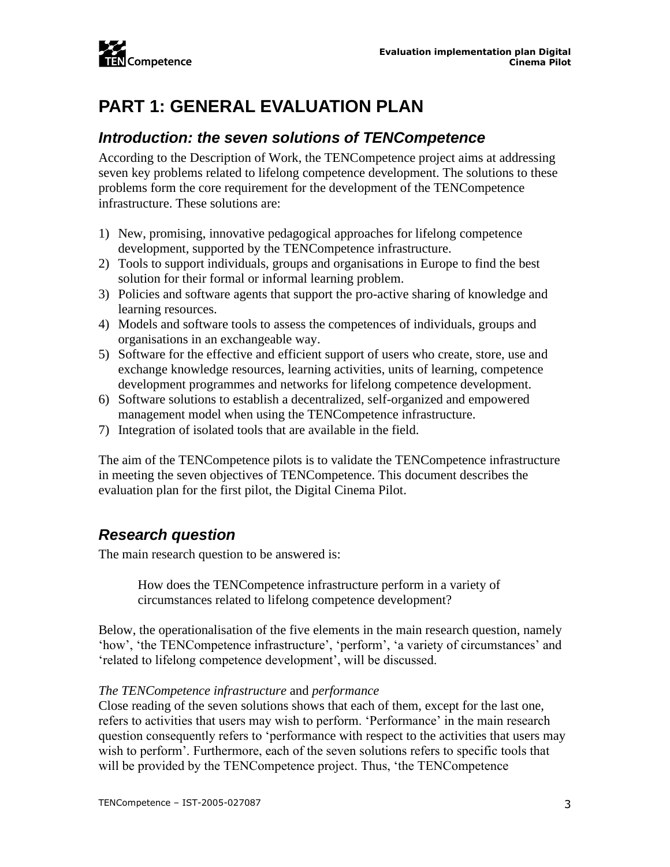

# <span id="page-3-0"></span>**PART 1: GENERAL EVALUATION PLAN**

### <span id="page-3-1"></span>*Introduction: the seven solutions of TENCompetence*

According to the Description of Work, the TENCompetence project aims at addressing seven key problems related to lifelong competence development. The solutions to these problems form the core requirement for the development of the TENCompetence infrastructure. These solutions are:

- 1) New, promising, innovative pedagogical approaches for lifelong competence development, supported by the TENCompetence infrastructure.
- 2) Tools to support individuals, groups and organisations in Europe to find the best solution for their formal or informal learning problem.
- 3) Policies and software agents that support the pro-active sharing of knowledge and learning resources.
- 4) Models and software tools to assess the competences of individuals, groups and organisations in an exchangeable way.
- 5) Software for the effective and efficient support of users who create, store, use and exchange knowledge resources, learning activities, units of learning, competence development programmes and networks for lifelong competence development.
- 6) Software solutions to establish a decentralized, self-organized and empowered management model when using the TENCompetence infrastructure.
- 7) Integration of isolated tools that are available in the field.

The aim of the TENCompetence pilots is to validate the TENCompetence infrastructure in meeting the seven objectives of TENCompetence. This document describes the evaluation plan for the first pilot, the Digital Cinema Pilot.

### <span id="page-3-2"></span>*Research question*

The main research question to be answered is:

How does the TENCompetence infrastructure perform in a variety of circumstances related to lifelong competence development?

Below, the operationalisation of the five elements in the main research question, namely 'how', 'the TENCompetence infrastructure', 'perform', 'a variety of circumstances' and 'related to lifelong competence development', will be discussed.

#### *The TENCompetence infrastructure* and *performance*

Close reading of the seven solutions shows that each of them, except for the last one, refers to activities that users may wish to perform. 'Performance' in the main research question consequently refers to 'performance with respect to the activities that users may wish to perform'. Furthermore, each of the seven solutions refers to specific tools that will be provided by the TENCompetence project. Thus, 'the TENCompetence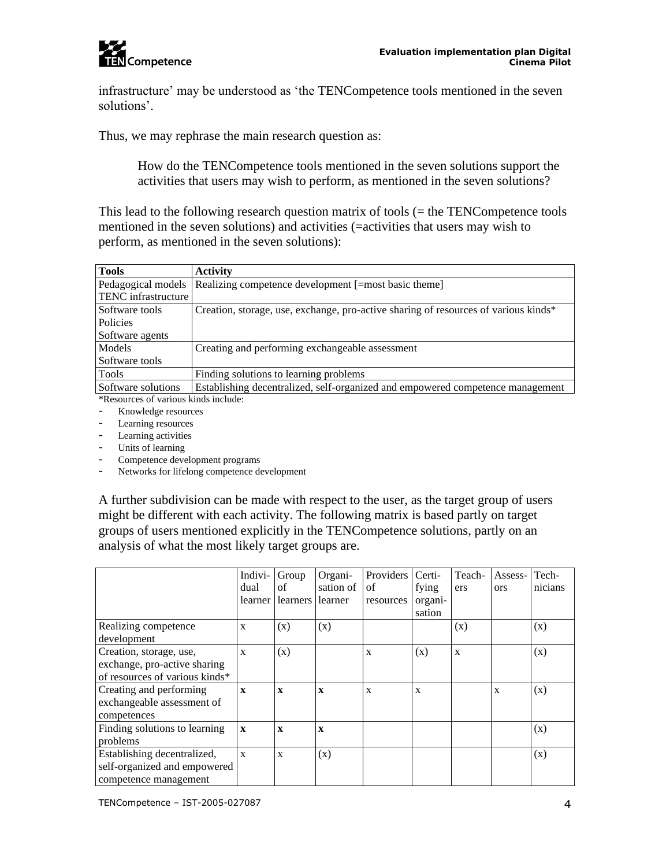

infrastructure' may be understood as 'the TENCompetence tools mentioned in the seven solutions'.

Thus, we may rephrase the main research question as:

How do the TENCompetence tools mentioned in the seven solutions support the activities that users may wish to perform, as mentioned in the seven solutions?

This lead to the following research question matrix of tools (= the TENCompetence tools mentioned in the seven solutions) and activities (=activities that users may wish to perform, as mentioned in the seven solutions):

| <b>Tools</b>                         | <b>Activity</b>                                                                     |
|--------------------------------------|-------------------------------------------------------------------------------------|
| Pedagogical models                   | Realizing competence development [=most basic theme]                                |
| <b>TENC</b> infrastructure           |                                                                                     |
| Software tools                       | Creation, storage, use, exchange, pro-active sharing of resources of various kinds* |
| Policies                             |                                                                                     |
| Software agents                      |                                                                                     |
| Models                               | Creating and performing exchangeable assessment                                     |
| Software tools                       |                                                                                     |
| Tools                                | Finding solutions to learning problems                                              |
| Software solutions                   | Establishing decentralized, self-organized and empowered competence management      |
| *Recourses of various kinds include: |                                                                                     |

\*Resources of various kinds include:

- Knowledge resources
- Learning resources
- Learning activities
- Units of learning
- Competence development programs
- Networks for lifelong competence development

A further subdivision can be made with respect to the user, as the target group of users might be different with each activity. The following matrix is based partly on target groups of users mentioned explicitly in the TENCompetence solutions, partly on an analysis of what the most likely target groups are.

|                                     | Indivi-      | Group        | Organi-      | Providers | Certi-  | Teach- | Assess-    | Tech-   |
|-------------------------------------|--------------|--------------|--------------|-----------|---------|--------|------------|---------|
|                                     | dual         | οf           | sation of    | of        | fying   | ers    | <b>ors</b> | nicians |
|                                     | learner l    | learners     | learner      | resources | organi- |        |            |         |
|                                     |              |              |              |           | sation  |        |            |         |
| Realizing competence<br>development | $\mathbf{x}$ | (x)          | (x)          |           |         | (x)    |            | (x)     |
| Creation, storage, use,             | X            | (x)          |              | X         | (x)     | X      |            | (x)     |
| exchange, pro-active sharing        |              |              |              |           |         |        |            |         |
| of resources of various kinds*      |              |              |              |           |         |        |            |         |
| Creating and performing             | $\mathbf{x}$ | $\mathbf{x}$ | $\mathbf{x}$ | X         | X       |        | X          | (x)     |
| exchangeable assessment of          |              |              |              |           |         |        |            |         |
| competences                         |              |              |              |           |         |        |            |         |
| Finding solutions to learning       | $\mathbf{X}$ | $\mathbf x$  | $\mathbf x$  |           |         |        |            | (x)     |
| problems                            |              |              |              |           |         |        |            |         |
| Establishing decentralized,         | $\mathbf{x}$ | $\mathbf{x}$ | (x)          |           |         |        |            | (x)     |
| self-organized and empowered        |              |              |              |           |         |        |            |         |
| competence management               |              |              |              |           |         |        |            |         |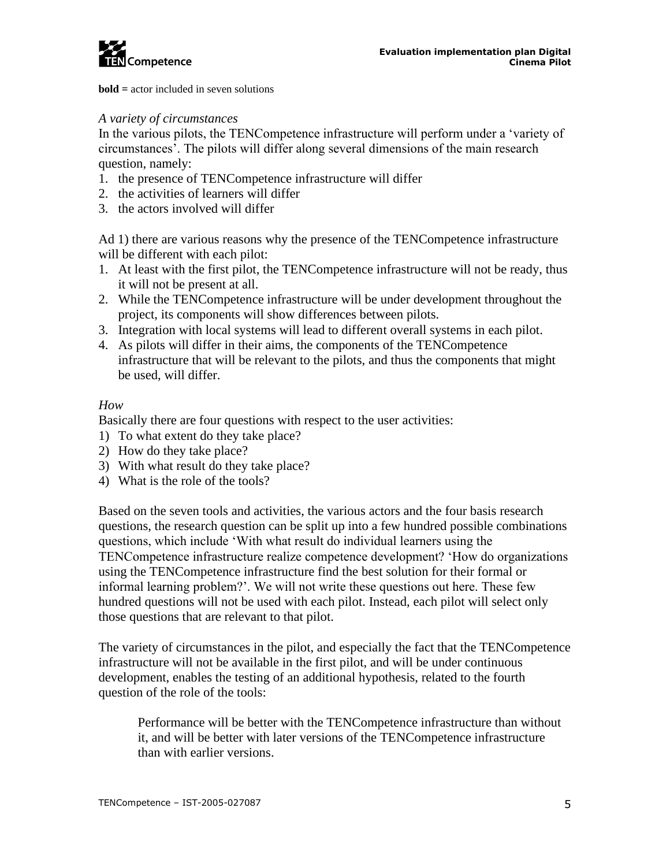

**bold =** actor included in seven solutions

#### *A variety of circumstances*

In the various pilots, the TENCompetence infrastructure will perform under a 'variety of circumstances'. The pilots will differ along several dimensions of the main research question, namely:

- 1. the presence of TENCompetence infrastructure will differ
- 2. the activities of learners will differ
- 3. the actors involved will differ

Ad 1) there are various reasons why the presence of the TENCompetence infrastructure will be different with each pilot:

- 1. At least with the first pilot, the TENCompetence infrastructure will not be ready, thus it will not be present at all.
- 2. While the TENCompetence infrastructure will be under development throughout the project, its components will show differences between pilots.
- 3. Integration with local systems will lead to different overall systems in each pilot.
- 4. As pilots will differ in their aims, the components of the TENCompetence infrastructure that will be relevant to the pilots, and thus the components that might be used, will differ.

#### *How*

Basically there are four questions with respect to the user activities:

- 1) To what extent do they take place?
- 2) How do they take place?
- 3) With what result do they take place?
- 4) What is the role of the tools?

Based on the seven tools and activities, the various actors and the four basis research questions, the research question can be split up into a few hundred possible combinations questions, which include 'With what result do individual learners using the TENCompetence infrastructure realize competence development? 'How do organizations using the TENCompetence infrastructure find the best solution for their formal or informal learning problem?'. We will not write these questions out here. These few hundred questions will not be used with each pilot. Instead, each pilot will select only those questions that are relevant to that pilot.

The variety of circumstances in the pilot, and especially the fact that the TENCompetence infrastructure will not be available in the first pilot, and will be under continuous development, enables the testing of an additional hypothesis, related to the fourth question of the role of the tools:

Performance will be better with the TENCompetence infrastructure than without it, and will be better with later versions of the TENCompetence infrastructure than with earlier versions.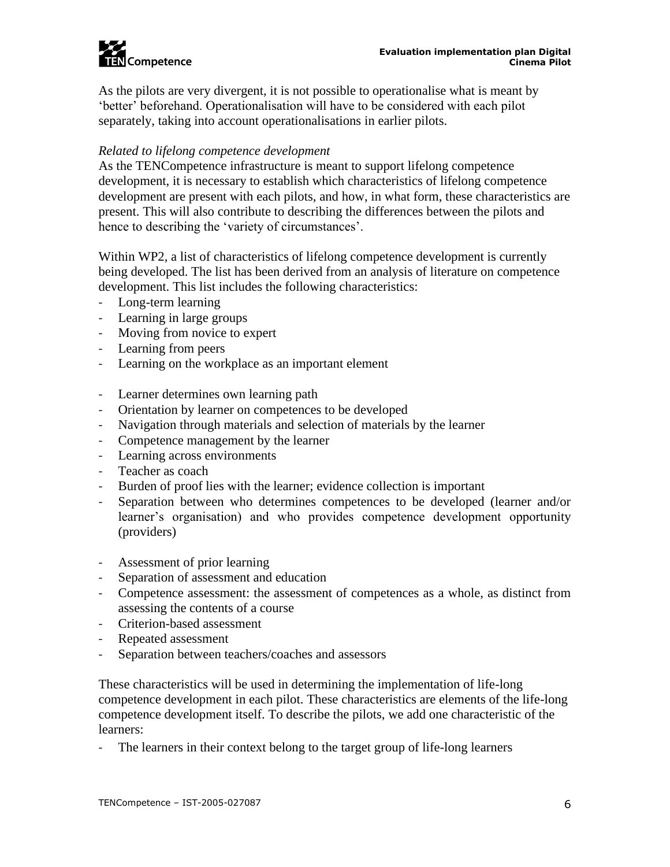

As the pilots are very divergent, it is not possible to operationalise what is meant by 'better' beforehand. Operationalisation will have to be considered with each pilot separately, taking into account operationalisations in earlier pilots.

#### *Related to lifelong competence development*

As the TENCompetence infrastructure is meant to support lifelong competence development, it is necessary to establish which characteristics of lifelong competence development are present with each pilots, and how, in what form, these characteristics are present. This will also contribute to describing the differences between the pilots and hence to describing the 'variety of circumstances'.

Within WP2, a list of characteristics of lifelong competence development is currently being developed. The list has been derived from an analysis of literature on competence development. This list includes the following characteristics:

- Long-term learning
- Learning in large groups
- Moving from novice to expert
- Learning from peers
- Learning on the workplace as an important element
- Learner determines own learning path
- Orientation by learner on competences to be developed
- Navigation through materials and selection of materials by the learner
- Competence management by the learner
- Learning across environments
- Teacher as coach
- Burden of proof lies with the learner; evidence collection is important
- Separation between who determines competences to be developed (learner and/or learner's organisation) and who provides competence development opportunity (providers)
- Assessment of prior learning
- Separation of assessment and education
- Competence assessment: the assessment of competences as a whole, as distinct from assessing the contents of a course
- Criterion-based assessment
- Repeated assessment
- Separation between teachers/coaches and assessors

These characteristics will be used in determining the implementation of life-long competence development in each pilot. These characteristics are elements of the life-long competence development itself. To describe the pilots, we add one characteristic of the learners:

- The learners in their context belong to the target group of life-long learners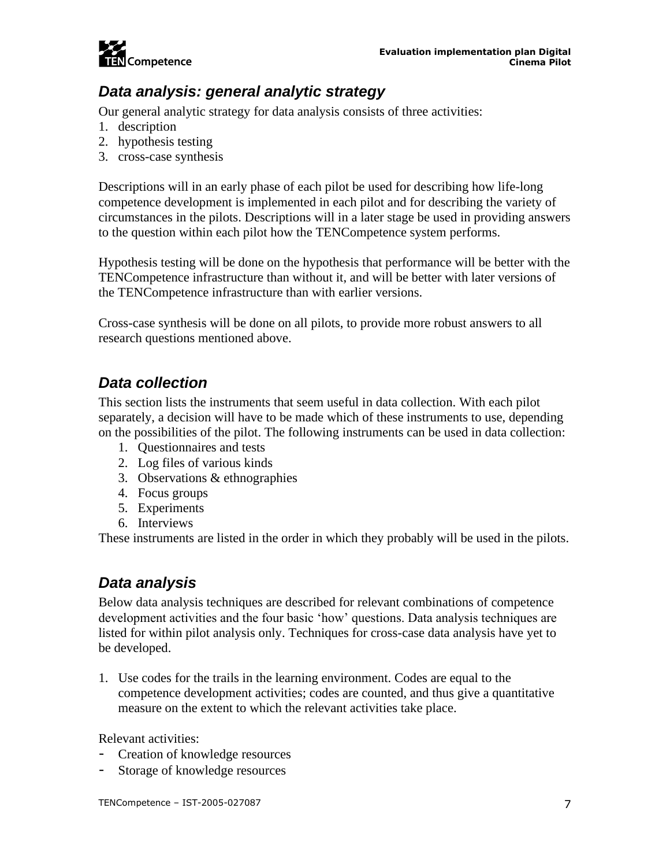

### <span id="page-7-0"></span>*Data analysis: general analytic strategy*

Our general analytic strategy for data analysis consists of three activities:

- 1. description
- 2. hypothesis testing
- 3. cross-case synthesis

Descriptions will in an early phase of each pilot be used for describing how life-long competence development is implemented in each pilot and for describing the variety of circumstances in the pilots. Descriptions will in a later stage be used in providing answers to the question within each pilot how the TENCompetence system performs.

Hypothesis testing will be done on the hypothesis that performance will be better with the TENCompetence infrastructure than without it, and will be better with later versions of the TENCompetence infrastructure than with earlier versions.

Cross-case synthesis will be done on all pilots, to provide more robust answers to all research questions mentioned above.

### <span id="page-7-1"></span>*Data collection*

This section lists the instruments that seem useful in data collection. With each pilot separately, a decision will have to be made which of these instruments to use, depending on the possibilities of the pilot. The following instruments can be used in data collection:

- 1. Questionnaires and tests
- 2. Log files of various kinds
- 3. Observations & ethnographies
- 4. Focus groups
- 5. Experiments
- 6. Interviews

These instruments are listed in the order in which they probably will be used in the pilots.

### <span id="page-7-2"></span>*Data analysis*

Below data analysis techniques are described for relevant combinations of competence development activities and the four basic 'how' questions. Data analysis techniques are listed for within pilot analysis only. Techniques for cross-case data analysis have yet to be developed.

1. Use codes for the trails in the learning environment. Codes are equal to the competence development activities; codes are counted, and thus give a quantitative measure on the extent to which the relevant activities take place.

Relevant activities:

- Creation of knowledge resources
- Storage of knowledge resources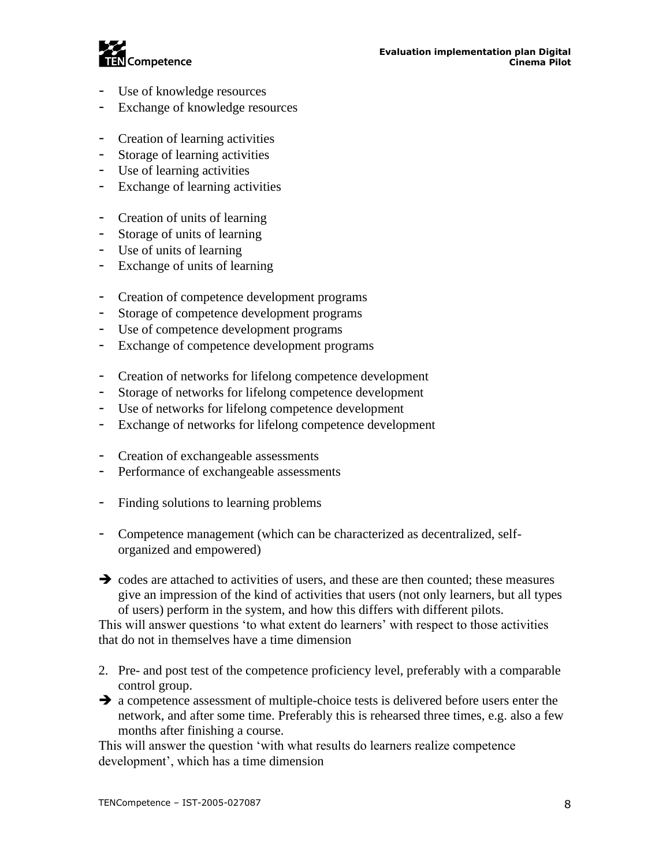

- Use of knowledge resources
- Exchange of knowledge resources
- Creation of learning activities
- Storage of learning activities
- Use of learning activities
- Exchange of learning activities
- Creation of units of learning
- Storage of units of learning
- Use of units of learning
- Exchange of units of learning
- Creation of competence development programs
- Storage of competence development programs
- Use of competence development programs
- Exchange of competence development programs
- Creation of networks for lifelong competence development
- Storage of networks for lifelong competence development
- Use of networks for lifelong competence development
- Exchange of networks for lifelong competence development
- Creation of exchangeable assessments
- Performance of exchangeable assessments
- Finding solutions to learning problems
- Competence management (which can be characterized as decentralized, selforganized and empowered)
- ➔ codes are attached to activities of users, and these are then counted; these measures give an impression of the kind of activities that users (not only learners, but all types of users) perform in the system, and how this differs with different pilots.

This will answer questions 'to what extent do learners' with respect to those activities that do not in themselves have a time dimension

- 2. Pre- and post test of the competence proficiency level, preferably with a comparable control group.
- **→** a competence assessment of multiple-choice tests is delivered before users enter the network, and after some time. Preferably this is rehearsed three times, e.g. also a few months after finishing a course.

This will answer the question 'with what results do learners realize competence development', which has a time dimension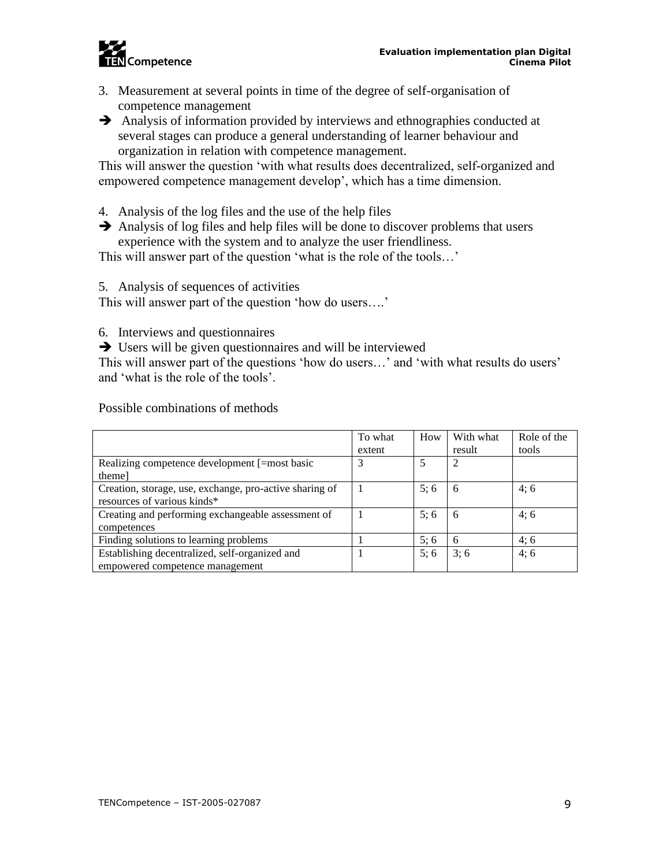

- 3. Measurement at several points in time of the degree of self-organisation of competence management
- **→** Analysis of information provided by interviews and ethnographies conducted at several stages can produce a general understanding of learner behaviour and organization in relation with competence management.

This will answer the question 'with what results does decentralized, self-organized and empowered competence management develop', which has a time dimension.

- 4. Analysis of the log files and the use of the help files
- ➔ Analysis of log files and help files will be done to discover problems that users experience with the system and to analyze the user friendliness.

This will answer part of the question 'what is the role of the tools…'

5. Analysis of sequences of activities

This will answer part of the question 'how do users….'

- 6. Interviews and questionnaires
- **→** Users will be given questionnaires and will be interviewed

This will answer part of the questions 'how do users…' and 'with what results do users' and 'what is the role of the tools'.

|                                                         | To what | How | With what | Role of the |
|---------------------------------------------------------|---------|-----|-----------|-------------|
|                                                         | extent  |     | result    | tools       |
| Realizing competence development [=most basic           |         |     | 2         |             |
| theme]                                                  |         |     |           |             |
| Creation, storage, use, exchange, pro-active sharing of |         | 5:6 | 6         | 4:6         |
| resources of various kinds*                             |         |     |           |             |
| Creating and performing exchangeable assessment of      |         | 5:6 | 6         | 4:6         |
| competences                                             |         |     |           |             |
| Finding solutions to learning problems                  |         | 5:6 | -6        | 4:6         |
| Establishing decentralized, self-organized and          |         | 5:6 | 3:6       | 4;6         |
| empowered competence management                         |         |     |           |             |

Possible combinations of methods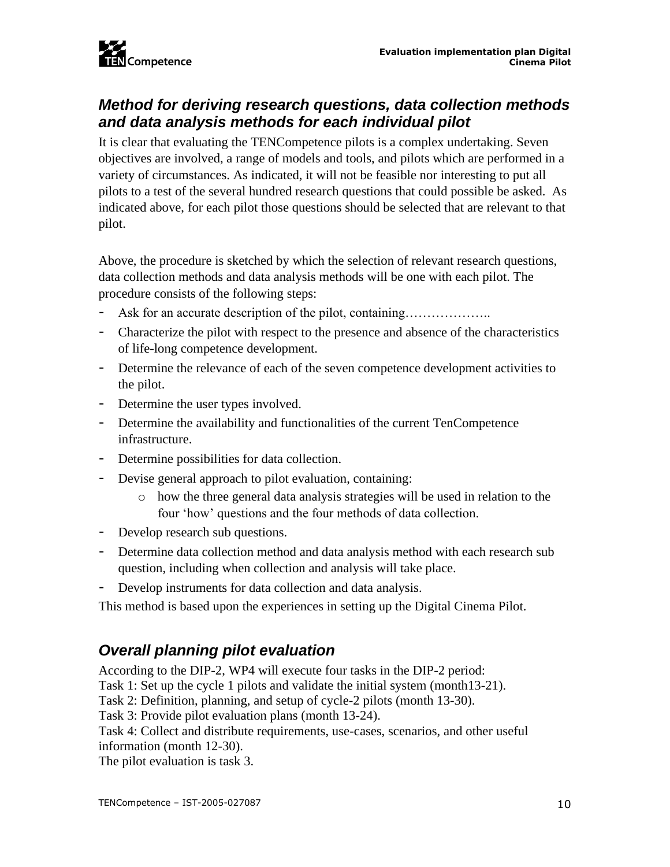## <span id="page-10-0"></span>*Method for deriving research questions, data collection methods and data analysis methods for each individual pilot*

It is clear that evaluating the TENCompetence pilots is a complex undertaking. Seven objectives are involved, a range of models and tools, and pilots which are performed in a variety of circumstances. As indicated, it will not be feasible nor interesting to put all pilots to a test of the several hundred research questions that could possible be asked. As indicated above, for each pilot those questions should be selected that are relevant to that pilot.

Above, the procedure is sketched by which the selection of relevant research questions, data collection methods and data analysis methods will be one with each pilot. The procedure consists of the following steps:

- Ask for an accurate description of the pilot, containing………………..
- Characterize the pilot with respect to the presence and absence of the characteristics of life-long competence development.
- Determine the relevance of each of the seven competence development activities to the pilot.
- Determine the user types involved.
- Determine the availability and functionalities of the current TenCompetence infrastructure.
- Determine possibilities for data collection.
- Devise general approach to pilot evaluation, containing:
	- o how the three general data analysis strategies will be used in relation to the four 'how' questions and the four methods of data collection.
- Develop research sub questions.
- Determine data collection method and data analysis method with each research sub question, including when collection and analysis will take place.
- Develop instruments for data collection and data analysis.

This method is based upon the experiences in setting up the Digital Cinema Pilot.

## <span id="page-10-1"></span>*Overall planning pilot evaluation*

According to the DIP-2, WP4 will execute four tasks in the DIP-2 period:

Task 1: Set up the cycle 1 pilots and validate the initial system (month13-21).

Task 2: Definition, planning, and setup of cycle-2 pilots (month 13-30).

Task 3: Provide pilot evaluation plans (month 13-24).

Task 4: Collect and distribute requirements, use-cases, scenarios, and other useful information (month 12-30).

The pilot evaluation is task 3.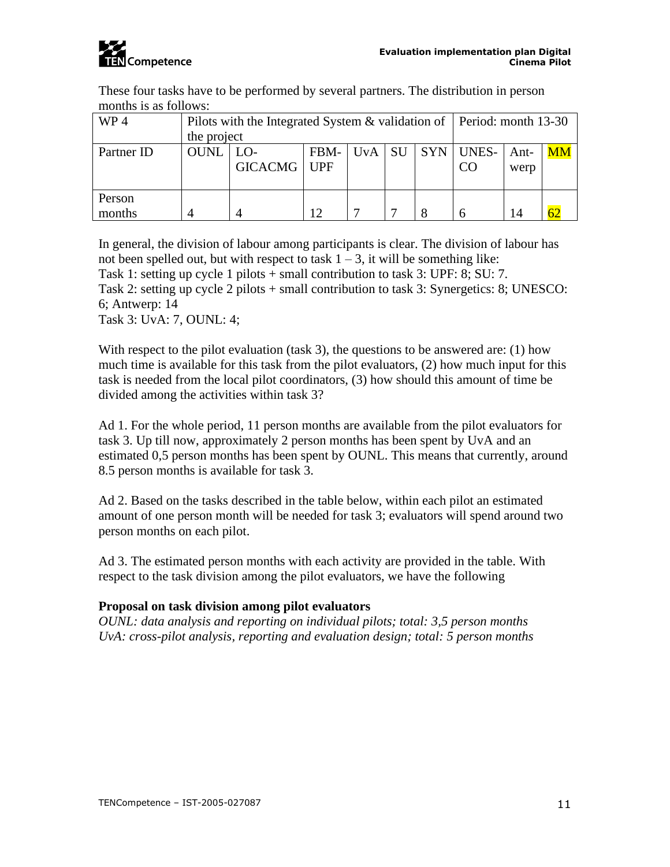

These four tasks have to be performed by several partners. The distribution in person months is as follows:

| WP4              | Pilots with the Integrated System & validation of   Period: month 13-30 |                             |      |  |  |                          |              |    |
|------------------|-------------------------------------------------------------------------|-----------------------------|------|--|--|--------------------------|--------------|----|
|                  | the project                                                             |                             |      |  |  |                          |              |    |
| Partner ID       | <b>OUNL</b>                                                             | $LO-$<br><b>GICACMG</b> UPF | FBM- |  |  | $UvA$   SU   SYN   UNES- | Ant-<br>werp | MM |
| Person<br>months |                                                                         |                             | 12   |  |  |                          | 14           |    |

In general, the division of labour among participants is clear. The division of labour has not been spelled out, but with respect to task  $1 - 3$ , it will be something like: Task 1: setting up cycle 1 pilots + small contribution to task 3: UPF: 8; SU: 7.

Task 2: setting up cycle 2 pilots + small contribution to task 3: Synergetics: 8; UNESCO: 6; Antwerp: 14

Task 3: UvA: 7, OUNL: 4;

With respect to the pilot evaluation (task 3), the questions to be answered are: (1) how much time is available for this task from the pilot evaluators, (2) how much input for this task is needed from the local pilot coordinators, (3) how should this amount of time be divided among the activities within task 3?

Ad 1. For the whole period, 11 person months are available from the pilot evaluators for task 3. Up till now, approximately 2 person months has been spent by UvA and an estimated 0,5 person months has been spent by OUNL. This means that currently, around 8.5 person months is available for task 3.

Ad 2. Based on the tasks described in the table below, within each pilot an estimated amount of one person month will be needed for task 3; evaluators will spend around two person months on each pilot.

Ad 3. The estimated person months with each activity are provided in the table. With respect to the task division among the pilot evaluators, we have the following

#### **Proposal on task division among pilot evaluators**

*OUNL: data analysis and reporting on individual pilots; total: 3,5 person months UvA: cross-pilot analysis, reporting and evaluation design; total: 5 person months*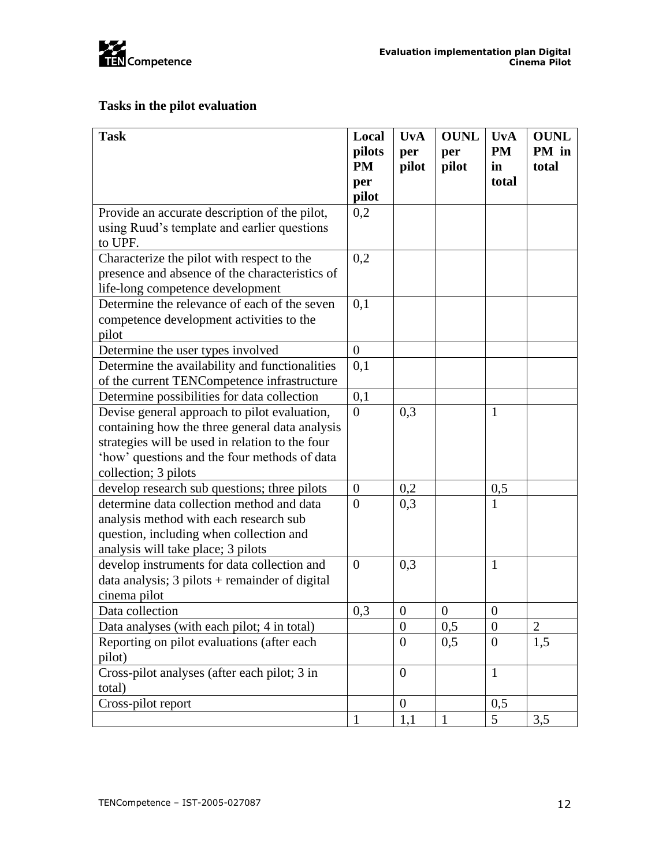

### **Tasks in the pilot evaluation**

| <b>Task</b>                                                                                                                                                                                                               | Local<br>pilots  | <b>UvA</b><br>per | <b>OUNL</b><br>per | <b>UvA</b><br><b>PM</b> | <b>OUNL</b><br>PM in |
|---------------------------------------------------------------------------------------------------------------------------------------------------------------------------------------------------------------------------|------------------|-------------------|--------------------|-------------------------|----------------------|
|                                                                                                                                                                                                                           | <b>PM</b><br>per | pilot             | pilot              | in<br>total             | total                |
|                                                                                                                                                                                                                           | pilot            |                   |                    |                         |                      |
| Provide an accurate description of the pilot,<br>using Ruud's template and earlier questions<br>to UPF.                                                                                                                   | 0,2              |                   |                    |                         |                      |
| Characterize the pilot with respect to the<br>presence and absence of the characteristics of<br>life-long competence development                                                                                          | 0,2              |                   |                    |                         |                      |
| Determine the relevance of each of the seven<br>competence development activities to the<br>pilot                                                                                                                         | 0,1              |                   |                    |                         |                      |
| Determine the user types involved                                                                                                                                                                                         | $\boldsymbol{0}$ |                   |                    |                         |                      |
| Determine the availability and functionalities<br>of the current TENCompetence infrastructure                                                                                                                             | 0,1              |                   |                    |                         |                      |
| Determine possibilities for data collection                                                                                                                                                                               | 0,1              |                   |                    |                         |                      |
| Devise general approach to pilot evaluation,<br>containing how the three general data analysis<br>strategies will be used in relation to the four<br>'how' questions and the four methods of data<br>collection; 3 pilots | $\Omega$         | 0,3               |                    | $\mathbf{1}$            |                      |
| develop research sub questions; three pilots                                                                                                                                                                              | $\boldsymbol{0}$ | 0,2               |                    | 0,5                     |                      |
| determine data collection method and data<br>analysis method with each research sub<br>question, including when collection and<br>analysis will take place; 3 pilots                                                      | $\overline{0}$   | 0,3               |                    | $\mathbf{1}$            |                      |
| develop instruments for data collection and<br>data analysis; $3$ pilots + remainder of digital<br>cinema pilot                                                                                                           | $\overline{0}$   | 0,3               |                    | $\mathbf{1}$            |                      |
| Data collection                                                                                                                                                                                                           | 0,3              | $\overline{0}$    | $\theta$           | $\mathbf{0}$            |                      |
| Data analyses (with each pilot; 4 in total)                                                                                                                                                                               |                  | $\boldsymbol{0}$  | 0,5                | $\overline{0}$          | $\mathbf{2}$         |
| Reporting on pilot evaluations (after each<br>pilot)                                                                                                                                                                      |                  | $\theta$          | 0,5                | $\mathbf{0}$            | 1,5                  |
| Cross-pilot analyses (after each pilot; 3 in<br>total)                                                                                                                                                                    |                  | $\overline{0}$    |                    | $\mathbf{1}$            |                      |
| Cross-pilot report                                                                                                                                                                                                        |                  | $\overline{0}$    |                    | 0,5                     |                      |
|                                                                                                                                                                                                                           | $\mathbf{1}$     | 1,1               | 1                  | $5\overline{)}$         | 3,5                  |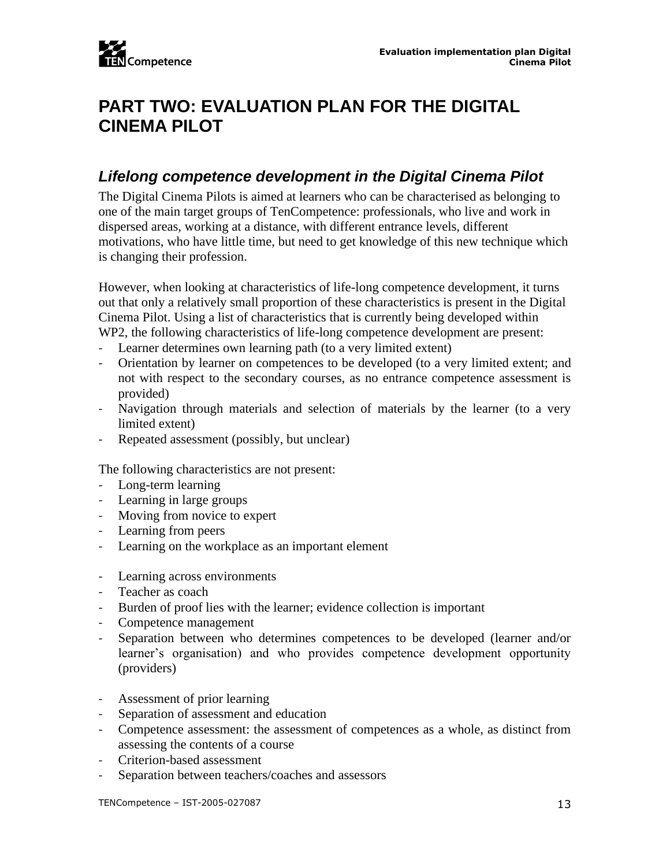# <span id="page-13-0"></span>**PART TWO: EVALUATION PLAN FOR THE DIGITAL CINEMA PILOT**

### <span id="page-13-1"></span>*Lifelong competence development in the Digital Cinema Pilot*

The Digital Cinema Pilots is aimed at learners who can be characterised as belonging to one of the main target groups of TenCompetence: professionals, who live and work in dispersed areas, working at a distance, with different entrance levels, different motivations, who have little time, but need to get knowledge of this new technique which is changing their profession.

However, when looking at characteristics of life-long competence development, it turns out that only a relatively small proportion of these characteristics is present in the Digital Cinema Pilot. Using a list of characteristics that is currently being developed within WP2, the following characteristics of life-long competence development are present:

- Learner determines own learning path (to a very limited extent)
- Orientation by learner on competences to be developed (to a very limited extent; and not with respect to the secondary courses, as no entrance competence assessment is provided)
- Navigation through materials and selection of materials by the learner (to a very limited extent)
- Repeated assessment (possibly, but unclear)

The following characteristics are not present:

- Long-term learning
- Learning in large groups
- Moving from novice to expert
- Learning from peers
- Learning on the workplace as an important element
- Learning across environments
- Teacher as coach
- Burden of proof lies with the learner; evidence collection is important
- Competence management
- Separation between who determines competences to be developed (learner and/or learner's organisation) and who provides competence development opportunity (providers)
- Assessment of prior learning
- Separation of assessment and education
- Competence assessment: the assessment of competences as a whole, as distinct from assessing the contents of a course
- Criterion-based assessment
- Separation between teachers/coaches and assessors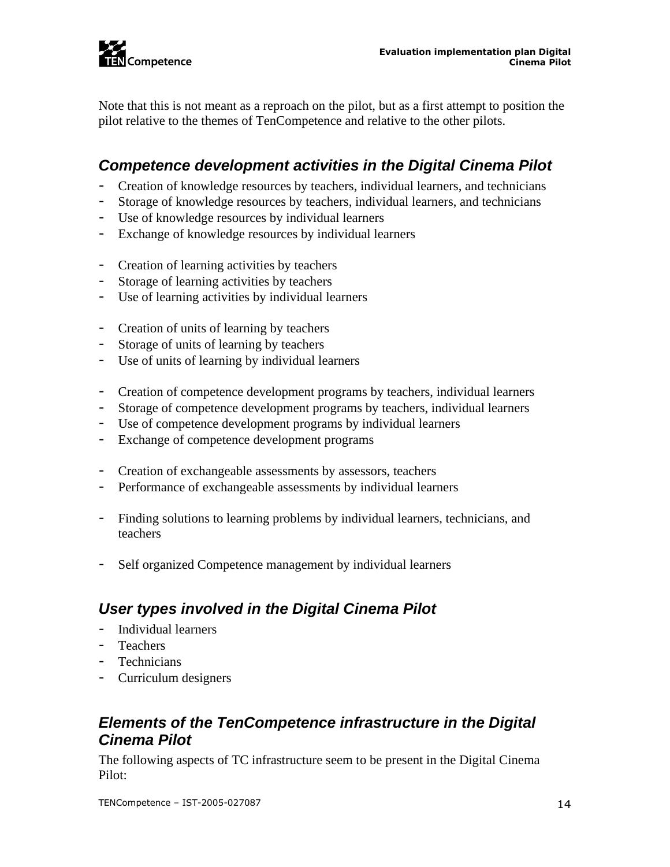

Note that this is not meant as a reproach on the pilot, but as a first attempt to position the pilot relative to the themes of TenCompetence and relative to the other pilots.

### <span id="page-14-0"></span>*Competence development activities in the Digital Cinema Pilot*

- Creation of knowledge resources by teachers, individual learners, and technicians
- Storage of knowledge resources by teachers, individual learners, and technicians
- Use of knowledge resources by individual learners
- Exchange of knowledge resources by individual learners
- Creation of learning activities by teachers
- Storage of learning activities by teachers
- Use of learning activities by individual learners
- Creation of units of learning by teachers
- Storage of units of learning by teachers
- Use of units of learning by individual learners
- Creation of competence development programs by teachers, individual learners
- Storage of competence development programs by teachers, individual learners
- Use of competence development programs by individual learners
- Exchange of competence development programs
- Creation of exchangeable assessments by assessors, teachers
- Performance of exchangeable assessments by individual learners
- Finding solutions to learning problems by individual learners, technicians, and teachers
- Self organized Competence management by individual learners

### <span id="page-14-1"></span>*User types involved in the Digital Cinema Pilot*

- Individual learners
- Teachers
- Technicians
- Curriculum designers

### <span id="page-14-2"></span>*Elements of the TenCompetence infrastructure in the Digital Cinema Pilot*

The following aspects of TC infrastructure seem to be present in the Digital Cinema Pilot: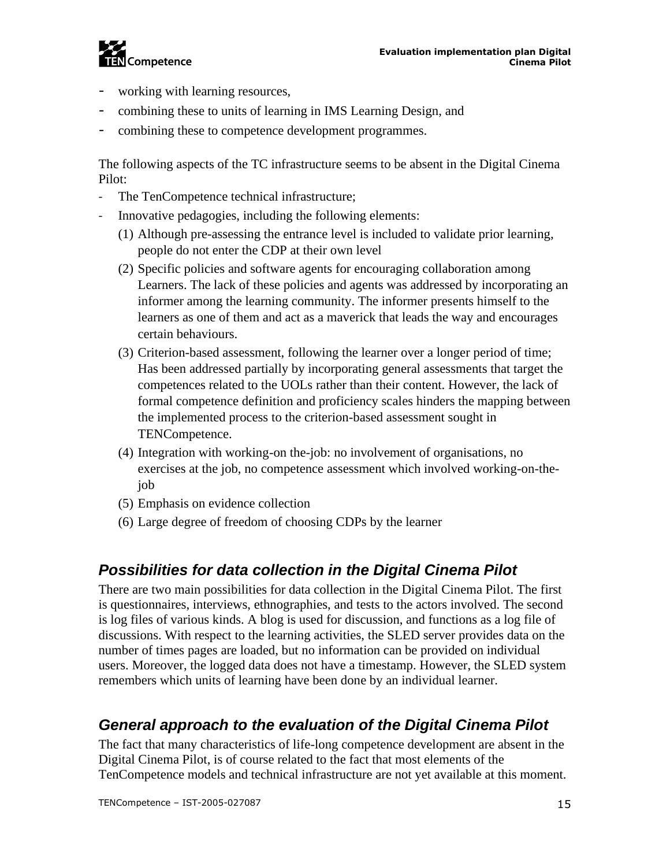

- working with learning resources,
- combining these to units of learning in IMS Learning Design, and
- combining these to competence development programmes.

The following aspects of the TC infrastructure seems to be absent in the Digital Cinema Pilot:

- The TenCompetence technical infrastructure;
- Innovative pedagogies, including the following elements:
	- (1) Although pre-assessing the entrance level is included to validate prior learning, people do not enter the CDP at their own level
	- (2) Specific policies and software agents for encouraging collaboration among Learners. The lack of these policies and agents was addressed by incorporating an informer among the learning community. The informer presents himself to the learners as one of them and act as a maverick that leads the way and encourages certain behaviours.
	- (3) Criterion-based assessment, following the learner over a longer period of time; Has been addressed partially by incorporating general assessments that target the competences related to the UOLs rather than their content. However, the lack of formal competence definition and proficiency scales hinders the mapping between the implemented process to the criterion-based assessment sought in TENCompetence.
	- (4) Integration with working-on the-job: no involvement of organisations, no exercises at the job, no competence assessment which involved working-on-thejob
	- (5) Emphasis on evidence collection
	- (6) Large degree of freedom of choosing CDPs by the learner

## <span id="page-15-0"></span>*Possibilities for data collection in the Digital Cinema Pilot*

There are two main possibilities for data collection in the Digital Cinema Pilot. The first is questionnaires, interviews, ethnographies, and tests to the actors involved. The second is log files of various kinds. A blog is used for discussion, and functions as a log file of discussions. With respect to the learning activities, the SLED server provides data on the number of times pages are loaded, but no information can be provided on individual users. Moreover, the logged data does not have a timestamp. However, the SLED system remembers which units of learning have been done by an individual learner.

## <span id="page-15-1"></span>*General approach to the evaluation of the Digital Cinema Pilot*

The fact that many characteristics of life-long competence development are absent in the Digital Cinema Pilot, is of course related to the fact that most elements of the TenCompetence models and technical infrastructure are not yet available at this moment.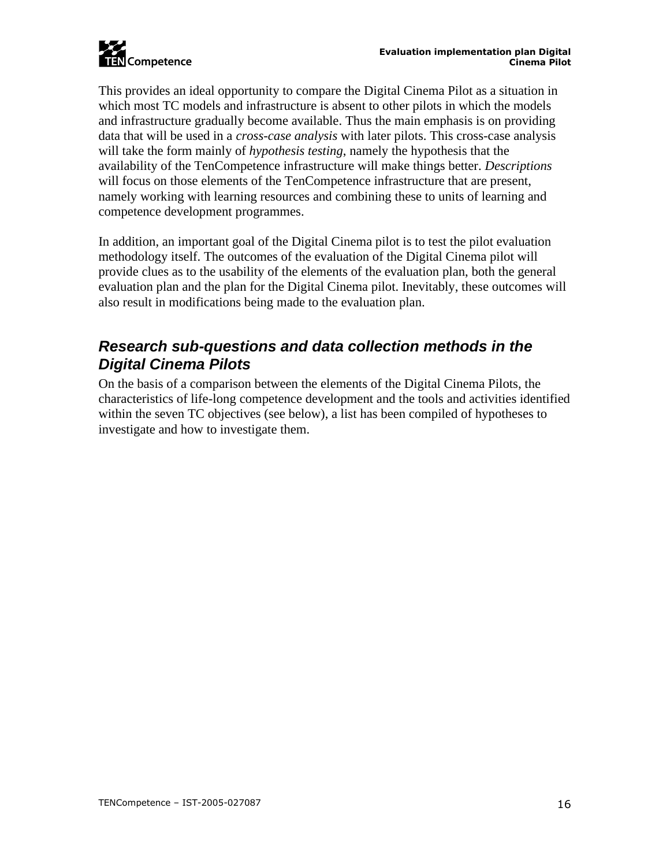

This provides an ideal opportunity to compare the Digital Cinema Pilot as a situation in which most TC models and infrastructure is absent to other pilots in which the models and infrastructure gradually become available. Thus the main emphasis is on providing data that will be used in a *cross-case analysis* with later pilots. This cross-case analysis will take the form mainly of *hypothesis testing*, namely the hypothesis that the availability of the TenCompetence infrastructure will make things better. *Descriptions*  will focus on those elements of the TenCompetence infrastructure that are present, namely working with learning resources and combining these to units of learning and competence development programmes.

In addition, an important goal of the Digital Cinema pilot is to test the pilot evaluation methodology itself. The outcomes of the evaluation of the Digital Cinema pilot will provide clues as to the usability of the elements of the evaluation plan, both the general evaluation plan and the plan for the Digital Cinema pilot. Inevitably, these outcomes will also result in modifications being made to the evaluation plan.

### <span id="page-16-0"></span>*Research sub-questions and data collection methods in the Digital Cinema Pilots*

On the basis of a comparison between the elements of the Digital Cinema Pilots, the characteristics of life-long competence development and the tools and activities identified within the seven TC objectives (see below), a list has been compiled of hypotheses to investigate and how to investigate them.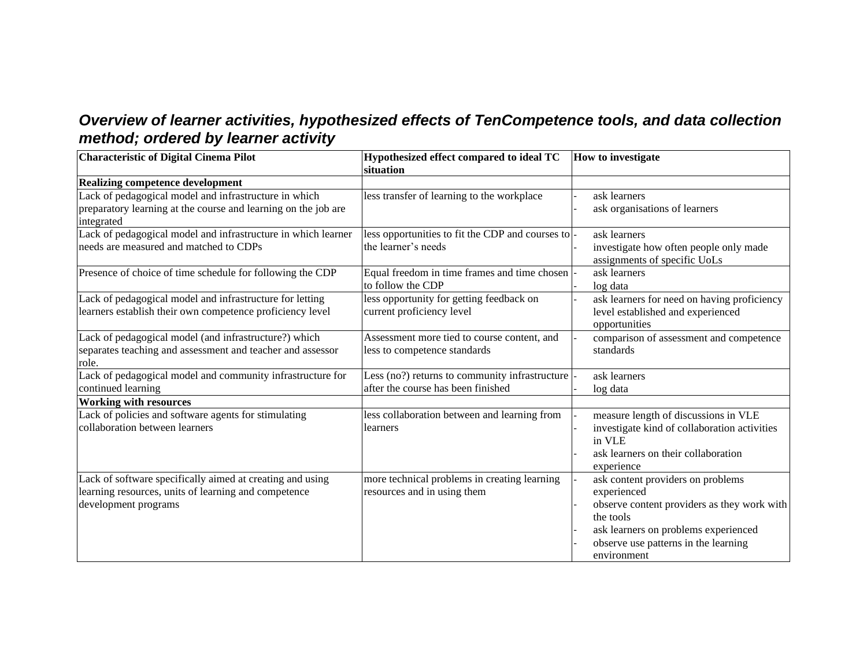## *Overview of learner activities, hypothesized effects of TenCompetence tools, and data collection method; ordered by learner activity*

<span id="page-17-0"></span>

| <b>Characteristic of Digital Cinema Pilot</b>                  | Hypothesized effect compared to ideal TC         | <b>How to investigate</b>                    |
|----------------------------------------------------------------|--------------------------------------------------|----------------------------------------------|
|                                                                | situation                                        |                                              |
| <b>Realizing competence development</b>                        |                                                  |                                              |
| Lack of pedagogical model and infrastructure in which          | less transfer of learning to the workplace       | ask learners                                 |
| preparatory learning at the course and learning on the job are |                                                  | ask organisations of learners                |
| integrated                                                     |                                                  |                                              |
| Lack of pedagogical model and infrastructure in which learner  | less opportunities to fit the CDP and courses to | ask learners                                 |
| needs are measured and matched to CDPs                         | the learner's needs                              | investigate how often people only made       |
|                                                                |                                                  | assignments of specific UoLs                 |
| Presence of choice of time schedule for following the CDP      | Equal freedom in time frames and time chosen     | ask learners                                 |
|                                                                | to follow the CDP                                | log data                                     |
| Lack of pedagogical model and infrastructure for letting       | less opportunity for getting feedback on         | ask learners for need on having proficiency  |
| learners establish their own competence proficiency level      | current proficiency level                        | level established and experienced            |
|                                                                |                                                  | opportunities                                |
| Lack of pedagogical model (and infrastructure?) which          | Assessment more tied to course content, and      | comparison of assessment and competence      |
| separates teaching and assessment and teacher and assessor     | less to competence standards                     | standards                                    |
| role.                                                          |                                                  |                                              |
| Lack of pedagogical model and community infrastructure for     | Less (no?) returns to community infrastructure   | ask learners                                 |
| continued learning                                             | after the course has been finished               | log data                                     |
| <b>Working with resources</b>                                  |                                                  |                                              |
| Lack of policies and software agents for stimulating           | less collaboration between and learning from     | measure length of discussions in VLE         |
| collaboration between learners                                 | learners                                         | investigate kind of collaboration activities |
|                                                                |                                                  | in VLE                                       |
|                                                                |                                                  | ask learners on their collaboration          |
|                                                                |                                                  | experience                                   |
| Lack of software specifically aimed at creating and using      | more technical problems in creating learning     | ask content providers on problems            |
| learning resources, units of learning and competence           | resources and in using them                      | experienced                                  |
| development programs                                           |                                                  | observe content providers as they work with  |
|                                                                |                                                  | the tools                                    |
|                                                                |                                                  | ask learners on problems experienced         |
|                                                                |                                                  | observe use patterns in the learning         |
|                                                                |                                                  | environment                                  |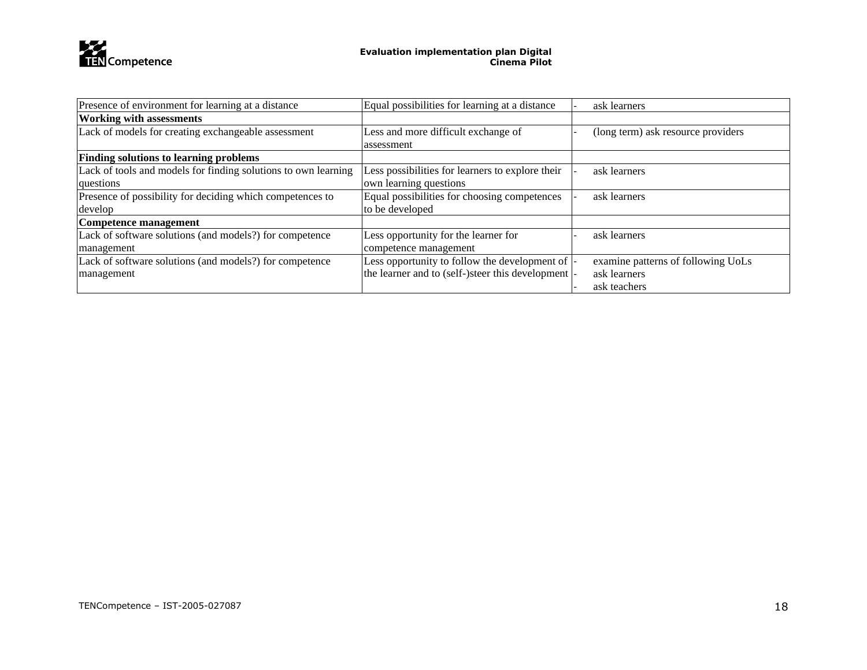

| Presence of environment for learning at a distance<br>Equal possibilities for learning at a distance |                                                     | ask learners                       |
|------------------------------------------------------------------------------------------------------|-----------------------------------------------------|------------------------------------|
| <b>Working with assessments</b>                                                                      |                                                     |                                    |
| Lack of models for creating exchangeable assessment                                                  | Less and more difficult exchange of                 | (long term) ask resource providers |
|                                                                                                      | assessment                                          |                                    |
| <b>Finding solutions to learning problems</b>                                                        |                                                     |                                    |
| Lack of tools and models for finding solutions to own learning                                       | Less possibilities for learners to explore their    | ask learners                       |
| questions                                                                                            | own learning questions                              |                                    |
| Presence of possibility for deciding which competences to                                            | Equal possibilities for choosing competences        | ask learners                       |
| develop                                                                                              | to be developed                                     |                                    |
| Competence management                                                                                |                                                     |                                    |
| Lack of software solutions (and models?) for competence                                              | Less opportunity for the learner for                | ask learners                       |
| management                                                                                           | competence management                               |                                    |
| Lack of software solutions (and models?) for competence                                              | Less opportunity to follow the development of       | examine patterns of following UoLs |
| management                                                                                           | the learner and to (self-)steer this development  - | ask learners                       |
|                                                                                                      |                                                     | ask teachers                       |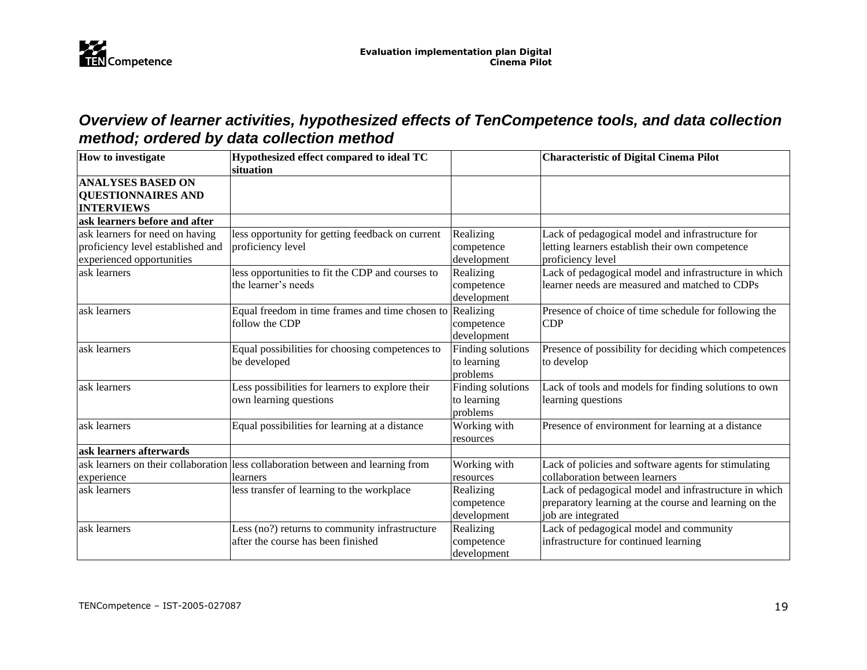

## *Overview of learner activities, hypothesized effects of TenCompetence tools, and data collection method; ordered by data collection method*

<span id="page-19-0"></span>

| <b>How to investigate</b>         | Hypothesized effect compared to ideal TC                                         |                   | <b>Characteristic of Digital Cinema Pilot</b>          |
|-----------------------------------|----------------------------------------------------------------------------------|-------------------|--------------------------------------------------------|
|                                   | situation                                                                        |                   |                                                        |
| <b>ANALYSES BASED ON</b>          |                                                                                  |                   |                                                        |
| <b>QUESTIONNAIRES AND</b>         |                                                                                  |                   |                                                        |
| <b>INTERVIEWS</b>                 |                                                                                  |                   |                                                        |
| ask learners before and after     |                                                                                  |                   |                                                        |
| ask learners for need on having   | less opportunity for getting feedback on current                                 | Realizing         | Lack of pedagogical model and infrastructure for       |
| proficiency level established and | proficiency level                                                                | competence        | letting learners establish their own competence        |
| experienced opportunities         |                                                                                  | development       | proficiency level                                      |
| ask learners                      | less opportunities to fit the CDP and courses to                                 | Realizing         | Lack of pedagogical model and infrastructure in which  |
|                                   | the learner's needs                                                              | competence        | learner needs are measured and matched to CDPs         |
|                                   |                                                                                  | development       |                                                        |
| ask learners                      | Equal freedom in time frames and time chosen to                                  | Realizing         | Presence of choice of time schedule for following the  |
|                                   | follow the CDP                                                                   | competence        | <b>CDP</b>                                             |
|                                   |                                                                                  | development       |                                                        |
| ask learners                      | Equal possibilities for choosing competences to                                  | Finding solutions | Presence of possibility for deciding which competences |
|                                   | be developed                                                                     | to learning       | to develop                                             |
|                                   |                                                                                  | problems          |                                                        |
| ask learners                      | Less possibilities for learners to explore their                                 | Finding solutions | Lack of tools and models for finding solutions to own  |
|                                   | own learning questions                                                           | to learning       | learning questions                                     |
|                                   |                                                                                  | problems          |                                                        |
| ask learners                      | Equal possibilities for learning at a distance                                   | Working with      | Presence of environment for learning at a distance     |
|                                   |                                                                                  | resources         |                                                        |
| ask learners afterwards           |                                                                                  |                   |                                                        |
|                                   | ask learners on their collaboration less collaboration between and learning from | Working with      | Lack of policies and software agents for stimulating   |
| experience                        | learners                                                                         | resources         | collaboration between learners                         |
| ask learners                      | less transfer of learning to the workplace                                       | Realizing         | Lack of pedagogical model and infrastructure in which  |
|                                   |                                                                                  | competence        | preparatory learning at the course and learning on the |
|                                   |                                                                                  | development       | job are integrated                                     |
| ask learners                      | Less (no?) returns to community infrastructure                                   | Realizing         | Lack of pedagogical model and community                |
|                                   | after the course has been finished                                               | competence        | infrastructure for continued learning                  |
|                                   |                                                                                  | development       |                                                        |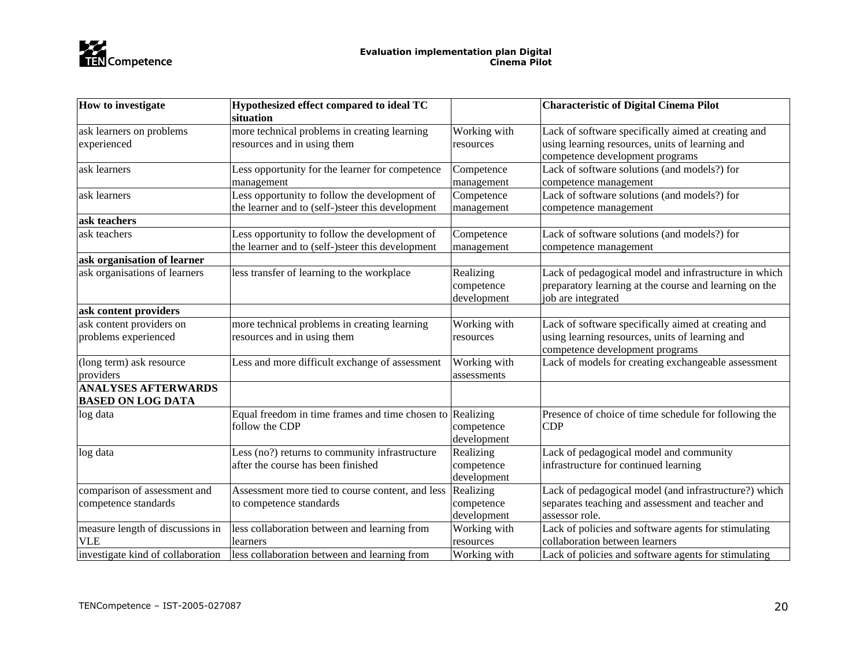

| How to investigate                | Hypothesized effect compared to ideal TC         |              | <b>Characteristic of Digital Cinema Pilot</b>          |
|-----------------------------------|--------------------------------------------------|--------------|--------------------------------------------------------|
|                                   | situation                                        |              |                                                        |
| ask learners on problems          | more technical problems in creating learning     | Working with | Lack of software specifically aimed at creating and    |
| experienced                       | resources and in using them                      | resources    | using learning resources, units of learning and        |
|                                   |                                                  |              | competence development programs                        |
| ask learners                      | Less opportunity for the learner for competence  | Competence   | Lack of software solutions (and models?) for           |
|                                   | management                                       | management   | competence management                                  |
| ask learners                      | Less opportunity to follow the development of    | Competence   | Lack of software solutions (and models?) for           |
|                                   | the learner and to (self-)steer this development | management   | competence management                                  |
| ask teachers                      |                                                  |              |                                                        |
| ask teachers                      | Less opportunity to follow the development of    | Competence   | Lack of software solutions (and models?) for           |
|                                   | the learner and to (self-)steer this development | management   | competence management                                  |
| ask organisation of learner       |                                                  |              |                                                        |
| ask organisations of learners     | less transfer of learning to the workplace       | Realizing    | Lack of pedagogical model and infrastructure in which  |
|                                   |                                                  | competence   | preparatory learning at the course and learning on the |
|                                   |                                                  | development  | job are integrated                                     |
| ask content providers             |                                                  |              |                                                        |
| ask content providers on          | more technical problems in creating learning     | Working with | Lack of software specifically aimed at creating and    |
| problems experienced              | resources and in using them                      | resources    | using learning resources, units of learning and        |
|                                   |                                                  |              | competence development programs                        |
| (long term) ask resource          | Less and more difficult exchange of assessment   | Working with | Lack of models for creating exchangeable assessment    |
| providers                         |                                                  | assessments  |                                                        |
| <b>ANALYSES AFTERWARDS</b>        |                                                  |              |                                                        |
| <b>BASED ON LOG DATA</b>          |                                                  |              |                                                        |
| log data                          | Equal freedom in time frames and time chosen to  | Realizing    | Presence of choice of time schedule for following the  |
|                                   | follow the CDP                                   | competence   | <b>CDP</b>                                             |
|                                   |                                                  | development  |                                                        |
| log data                          | Less (no?) returns to community infrastructure   | Realizing    | Lack of pedagogical model and community                |
|                                   | after the course has been finished               | competence   | infrastructure for continued learning                  |
|                                   |                                                  | development  |                                                        |
| comparison of assessment and      | Assessment more tied to course content, and less | Realizing    | Lack of pedagogical model (and infrastructure?) which  |
| competence standards              | to competence standards                          | competence   | separates teaching and assessment and teacher and      |
|                                   |                                                  | development  | assessor role.                                         |
| measure length of discussions in  | less collaboration between and learning from     | Working with | Lack of policies and software agents for stimulating   |
| <b>VLE</b>                        | learners                                         | resources    | collaboration between learners                         |
| investigate kind of collaboration | less collaboration between and learning from     | Working with | Lack of policies and software agents for stimulating   |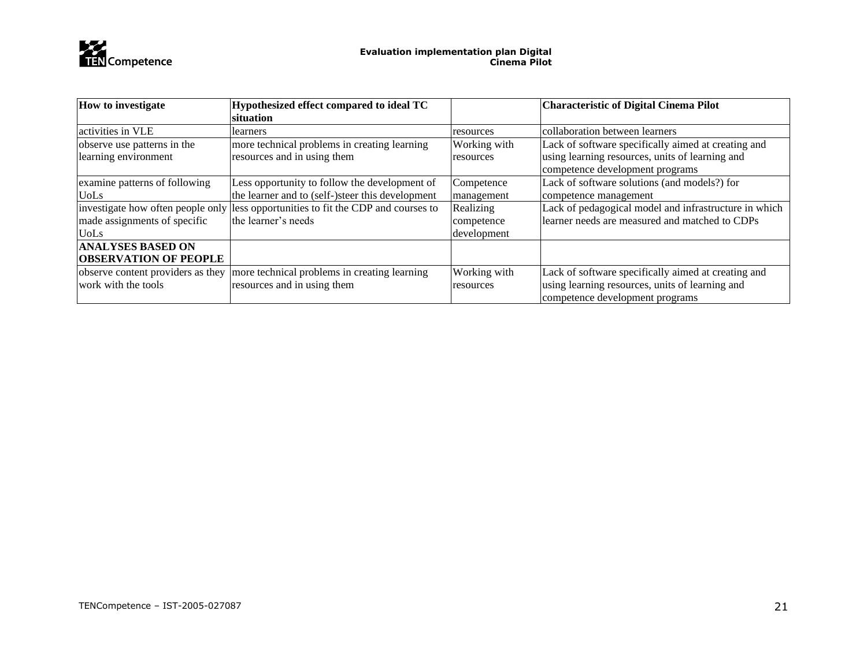

| <b>How to investigate</b>         | Hypothesized effect compared to ideal TC                                           |              | <b>Characteristic of Digital Cinema Pilot</b>         |
|-----------------------------------|------------------------------------------------------------------------------------|--------------|-------------------------------------------------------|
|                                   | situation                                                                          |              |                                                       |
| activities in VLE                 | learners                                                                           | resources    | collaboration between learners                        |
| observe use patterns in the       | more technical problems in creating learning                                       | Working with | Lack of software specifically aimed at creating and   |
| learning environment              | resources and in using them                                                        | resources    | using learning resources, units of learning and       |
|                                   |                                                                                    |              | competence development programs                       |
| examine patterns of following     | Less opportunity to follow the development of                                      | Competence   | Lack of software solutions (and models?) for          |
| <b>UoLs</b>                       | the learner and to (self-)steer this development                                   | management   | competence management                                 |
|                                   | investigate how often people only less opportunities to fit the CDP and courses to | Realizing    | Lack of pedagogical model and infrastructure in which |
| made assignments of specific      | the learner's needs                                                                | competence   | learner needs are measured and matched to CDPs        |
| <b>UoLs</b>                       |                                                                                    | development  |                                                       |
| <b>ANALYSES BASED ON</b>          |                                                                                    |              |                                                       |
| <b>OBSERVATION OF PEOPLE</b>      |                                                                                    |              |                                                       |
| observe content providers as they | more technical problems in creating learning                                       | Working with | Lack of software specifically aimed at creating and   |
| work with the tools               | resources and in using them                                                        | resources    | using learning resources, units of learning and       |
|                                   |                                                                                    |              | competence development programs                       |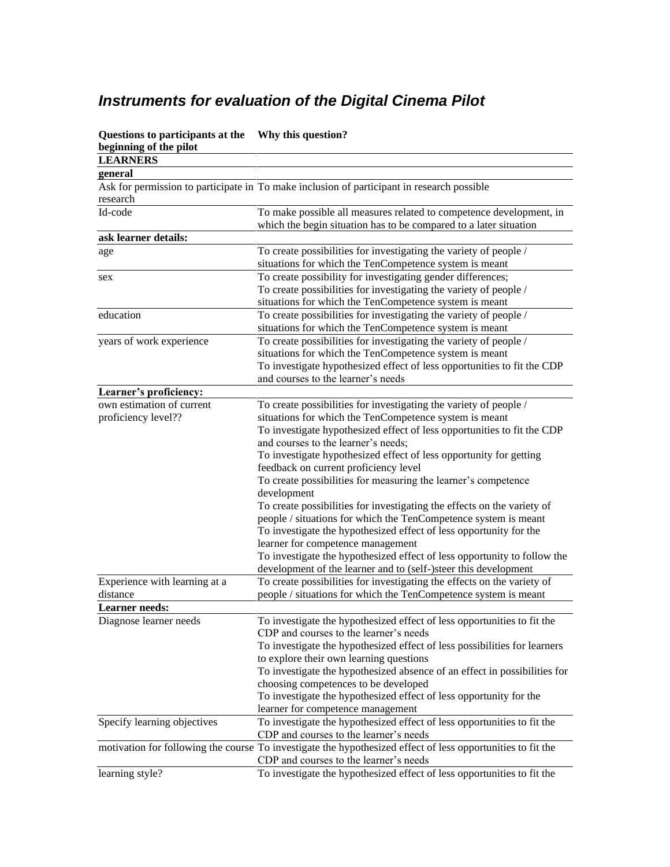# <span id="page-22-0"></span>*Instruments for evaluation of the Digital Cinema Pilot*

| Questions to participants at the<br>beginning of the pilot | Why this question?                                                                                          |
|------------------------------------------------------------|-------------------------------------------------------------------------------------------------------------|
| <b>LEARNERS</b>                                            |                                                                                                             |
| general                                                    |                                                                                                             |
|                                                            | Ask for permission to participate in To make inclusion of participant in research possible                  |
| research                                                   |                                                                                                             |
| Id-code                                                    | To make possible all measures related to competence development, in                                         |
|                                                            | which the begin situation has to be compared to a later situation                                           |
| ask learner details:                                       |                                                                                                             |
| age                                                        | To create possibilities for investigating the variety of people /                                           |
|                                                            | situations for which the TenCompetence system is meant                                                      |
| sex                                                        | To create possibility for investigating gender differences;                                                 |
|                                                            | To create possibilities for investigating the variety of people /                                           |
|                                                            | situations for which the TenCompetence system is meant                                                      |
| education                                                  | To create possibilities for investigating the variety of people /                                           |
|                                                            | situations for which the TenCompetence system is meant                                                      |
| years of work experience                                   | To create possibilities for investigating the variety of people /                                           |
|                                                            | situations for which the TenCompetence system is meant                                                      |
|                                                            | To investigate hypothesized effect of less opportunities to fit the CDP                                     |
|                                                            | and courses to the learner's needs                                                                          |
| Learner's proficiency:                                     |                                                                                                             |
| own estimation of current                                  | To create possibilities for investigating the variety of people /                                           |
| proficiency level??                                        | situations for which the TenCompetence system is meant                                                      |
|                                                            | To investigate hypothesized effect of less opportunities to fit the CDP                                     |
|                                                            | and courses to the learner's needs;                                                                         |
|                                                            | To investigate hypothesized effect of less opportunity for getting                                          |
|                                                            | feedback on current proficiency level                                                                       |
|                                                            | To create possibilities for measuring the learner's competence                                              |
|                                                            | development                                                                                                 |
|                                                            | To create possibilities for investigating the effects on the variety of                                     |
|                                                            | people / situations for which the TenCompetence system is meant                                             |
|                                                            | To investigate the hypothesized effect of less opportunity for the                                          |
|                                                            | learner for competence management                                                                           |
|                                                            | To investigate the hypothesized effect of less opportunity to follow the                                    |
|                                                            | development of the learner and to (self-)steer this development                                             |
| Experience with learning at a                              | To create possibilities for investigating the effects on the variety of                                     |
| distance                                                   | people / situations for which the TenCompetence system is meant                                             |
| <b>Learner</b> needs:                                      |                                                                                                             |
| Diagnose learner needs                                     | To investigate the hypothesized effect of less opportunities to fit the                                     |
|                                                            | CDP and courses to the learner's needs                                                                      |
|                                                            | To investigate the hypothesized effect of less possibilities for learners                                   |
|                                                            | to explore their own learning questions                                                                     |
|                                                            | To investigate the hypothesized absence of an effect in possibilities for                                   |
|                                                            | choosing competences to be developed                                                                        |
|                                                            | To investigate the hypothesized effect of less opportunity for the                                          |
|                                                            | learner for competence management                                                                           |
| Specify learning objectives                                | To investigate the hypothesized effect of less opportunities to fit the                                     |
|                                                            | CDP and courses to the learner's needs                                                                      |
|                                                            | motivation for following the course To investigate the hypothesized effect of less opportunities to fit the |
|                                                            | CDP and courses to the learner's needs                                                                      |
| learning style?                                            | To investigate the hypothesized effect of less opportunities to fit the                                     |

**Questions to participants at the Why this question?**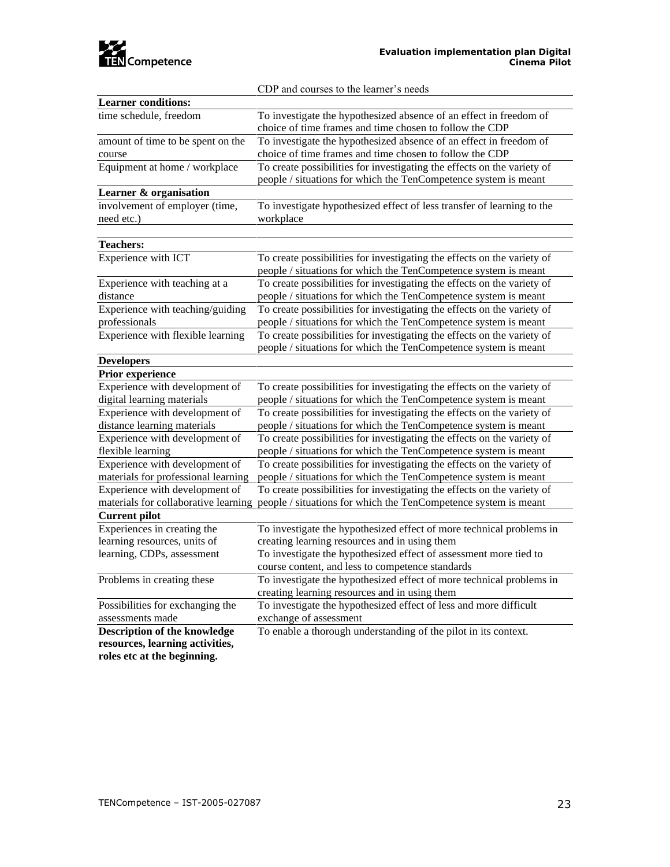

CDP and courses to the learner's needs

| <b>Learner conditions:</b>          |                                                                                                      |  |
|-------------------------------------|------------------------------------------------------------------------------------------------------|--|
| time schedule, freedom              | To investigate the hypothesized absence of an effect in freedom of                                   |  |
|                                     | choice of time frames and time chosen to follow the CDP                                              |  |
| amount of time to be spent on the   | To investigate the hypothesized absence of an effect in freedom of                                   |  |
| course                              | choice of time frames and time chosen to follow the CDP                                              |  |
| Equipment at home / workplace       | To create possibilities for investigating the effects on the variety of                              |  |
|                                     | people / situations for which the TenCompetence system is meant                                      |  |
| Learner & organisation              |                                                                                                      |  |
| involvement of employer (time,      | To investigate hypothesized effect of less transfer of learning to the                               |  |
| need etc.)                          | workplace                                                                                            |  |
|                                     |                                                                                                      |  |
| <b>Teachers:</b>                    |                                                                                                      |  |
| Experience with ICT                 | To create possibilities for investigating the effects on the variety of                              |  |
|                                     | people / situations for which the TenCompetence system is meant                                      |  |
| Experience with teaching at a       | To create possibilities for investigating the effects on the variety of                              |  |
| distance                            | people / situations for which the TenCompetence system is meant                                      |  |
| Experience with teaching/guiding    | To create possibilities for investigating the effects on the variety of                              |  |
| professionals                       | people / situations for which the TenCompetence system is meant                                      |  |
| Experience with flexible learning   | To create possibilities for investigating the effects on the variety of                              |  |
|                                     | people / situations for which the TenCompetence system is meant                                      |  |
| <b>Developers</b>                   |                                                                                                      |  |
| Prior experience                    |                                                                                                      |  |
| Experience with development of      | To create possibilities for investigating the effects on the variety of                              |  |
| digital learning materials          | people / situations for which the TenCompetence system is meant                                      |  |
| Experience with development of      | To create possibilities for investigating the effects on the variety of                              |  |
| distance learning materials         | people / situations for which the TenCompetence system is meant                                      |  |
| Experience with development of      | To create possibilities for investigating the effects on the variety of                              |  |
| flexible learning                   | people / situations for which the TenCompetence system is meant                                      |  |
| Experience with development of      | To create possibilities for investigating the effects on the variety of                              |  |
| materials for professional learning | people / situations for which the TenCompetence system is meant                                      |  |
| Experience with development of      | To create possibilities for investigating the effects on the variety of                              |  |
|                                     | materials for collaborative learning people / situations for which the TenCompetence system is meant |  |
| <b>Current pilot</b>                |                                                                                                      |  |
| Experiences in creating the         | To investigate the hypothesized effect of more technical problems in                                 |  |
| learning resources, units of        | creating learning resources and in using them                                                        |  |
| learning, CDPs, assessment          | To investigate the hypothesized effect of assessment more tied to                                    |  |
|                                     | course content, and less to competence standards                                                     |  |
| Problems in creating these          | To investigate the hypothesized effect of more technical problems in                                 |  |
|                                     | creating learning resources and in using them                                                        |  |
| Possibilities for exchanging the    | To investigate the hypothesized effect of less and more difficult                                    |  |
| assessments made                    | exchange of assessment                                                                               |  |
| Description of the knowledge        | To enable a thorough understanding of the pilot in its context.                                      |  |
| resources, learning activities,     |                                                                                                      |  |
| roles etc at the beginning.         |                                                                                                      |  |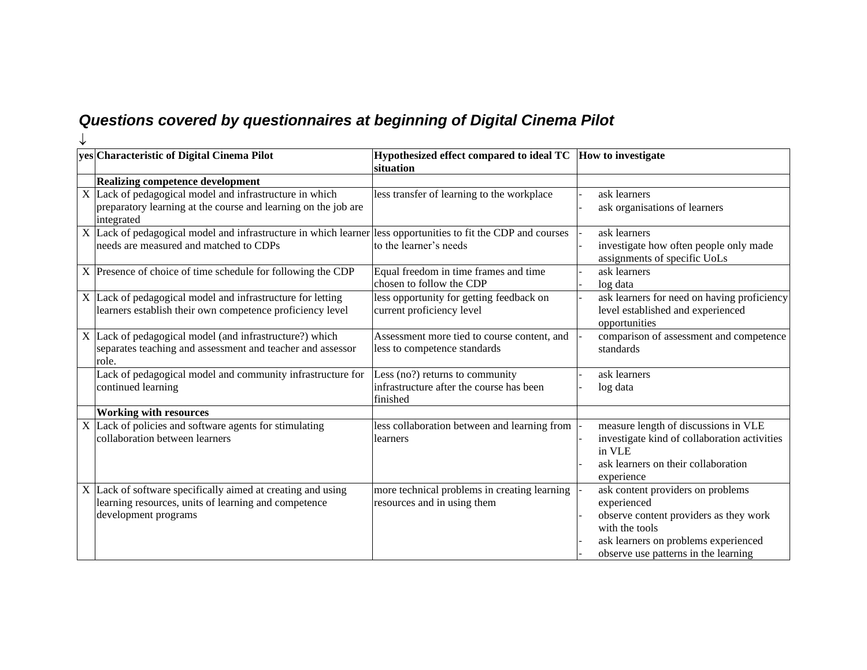# *Questions covered by questionnaires at beginning of Digital Cinema Pilot*

<span id="page-24-0"></span>

| yes Characteristic of Digital Cinema Pilot                                                                                                              | Hypothesized effect compared to ideal TC<br>situation                                   | How to investigate                                                                                                                                                                           |
|---------------------------------------------------------------------------------------------------------------------------------------------------------|-----------------------------------------------------------------------------------------|----------------------------------------------------------------------------------------------------------------------------------------------------------------------------------------------|
| <b>Realizing competence development</b>                                                                                                                 |                                                                                         |                                                                                                                                                                                              |
| X Lack of pedagogical model and infrastructure in which<br>preparatory learning at the course and learning on the job are<br>integrated                 | less transfer of learning to the workplace                                              | ask learners<br>ask organisations of learners                                                                                                                                                |
| X Lack of pedagogical model and infrastructure in which learner less opportunities to fit the CDP and courses<br>needs are measured and matched to CDPs | to the learner's needs                                                                  | ask learners<br>investigate how often people only made<br>assignments of specific UoLs                                                                                                       |
| X Presence of choice of time schedule for following the CDP                                                                                             | Equal freedom in time frames and time<br>chosen to follow the CDP                       | ask learners<br>log data                                                                                                                                                                     |
| X Lack of pedagogical model and infrastructure for letting<br>learners establish their own competence proficiency level                                 | less opportunity for getting feedback on<br>current proficiency level                   | ask learners for need on having proficiency<br>level established and experienced<br>opportunities                                                                                            |
| X Lack of pedagogical model (and infrastructure?) which<br>separates teaching and assessment and teacher and assessor<br>role.                          | Assessment more tied to course content, and<br>less to competence standards             | comparison of assessment and competence<br>standards                                                                                                                                         |
| Lack of pedagogical model and community infrastructure for<br>continued learning                                                                        | Less (no?) returns to community<br>infrastructure after the course has been<br>finished | ask learners<br>log data                                                                                                                                                                     |
| <b>Working with resources</b>                                                                                                                           |                                                                                         |                                                                                                                                                                                              |
| $X$ Lack of policies and software agents for stimulating<br>collaboration between learners                                                              | less collaboration between and learning from<br>learners                                | measure length of discussions in VLE<br>investigate kind of collaboration activities<br>in VLE<br>ask learners on their collaboration<br>experience                                          |
| X Lack of software specifically aimed at creating and using<br>learning resources, units of learning and competence<br>development programs             | more technical problems in creating learning<br>resources and in using them             | ask content providers on problems<br>experienced<br>observe content providers as they work<br>with the tools<br>ask learners on problems experienced<br>observe use patterns in the learning |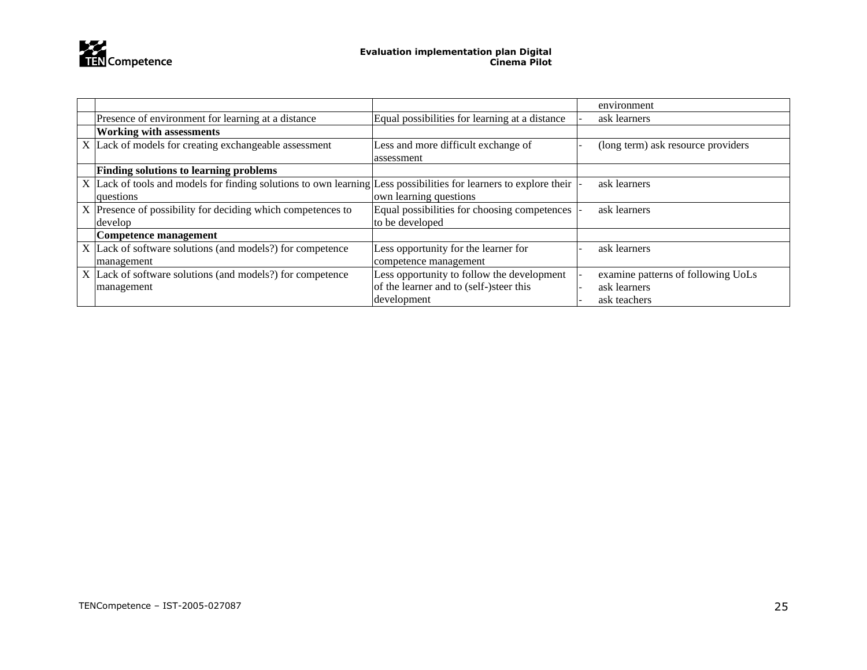

|                                                                                                                   |                                                | environment                        |
|-------------------------------------------------------------------------------------------------------------------|------------------------------------------------|------------------------------------|
| Presence of environment for learning at a distance                                                                | Equal possibilities for learning at a distance | ask learners                       |
| <b>Working with assessments</b>                                                                                   |                                                |                                    |
| X Lack of models for creating exchangeable assessment                                                             | Less and more difficult exchange of            | (long term) ask resource providers |
|                                                                                                                   | assessment                                     |                                    |
| <b>Finding solutions to learning problems</b>                                                                     |                                                |                                    |
| X Lack of tools and models for finding solutions to own learning Less possibilities for learners to explore their |                                                | ask learners                       |
| questions                                                                                                         | own learning questions                         |                                    |
| X Presence of possibility for deciding which competences to                                                       | Equal possibilities for choosing competences   | ask learners                       |
| develop                                                                                                           | to be developed                                |                                    |
| Competence management                                                                                             |                                                |                                    |
| X Lack of software solutions (and models?) for competence                                                         | Less opportunity for the learner for           | ask learners                       |
| management                                                                                                        | competence management                          |                                    |
| X Lack of software solutions (and models?) for competence                                                         | Less opportunity to follow the development     | examine patterns of following UoLs |
| management                                                                                                        | of the learner and to (self-)steer this        | ask learners                       |
|                                                                                                                   | development                                    | ask teachers                       |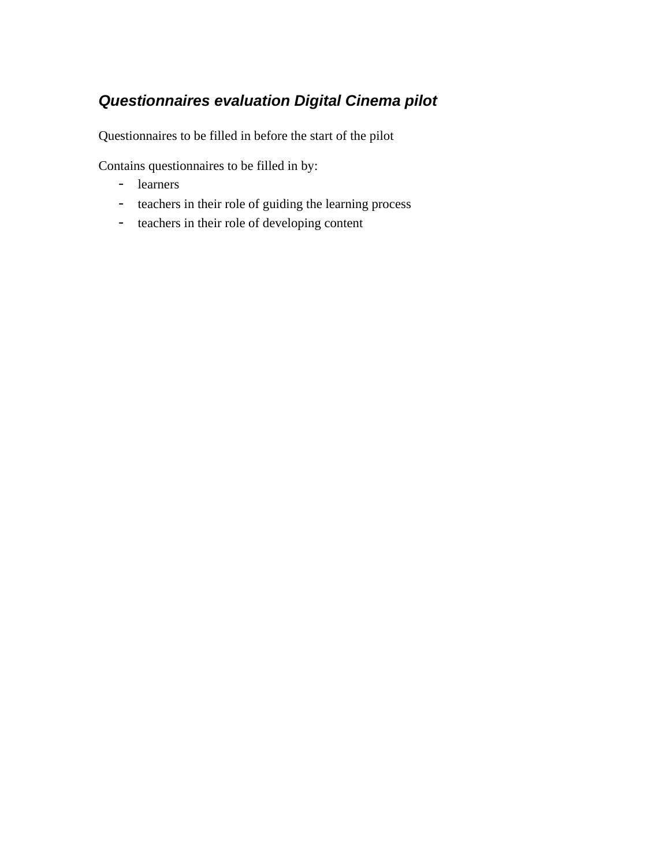## <span id="page-26-0"></span>*Questionnaires evaluation Digital Cinema pilot*

Questionnaires to be filled in before the start of the pilot

Contains questionnaires to be filled in by:

- learners
- teachers in their role of guiding the learning process
- teachers in their role of developing content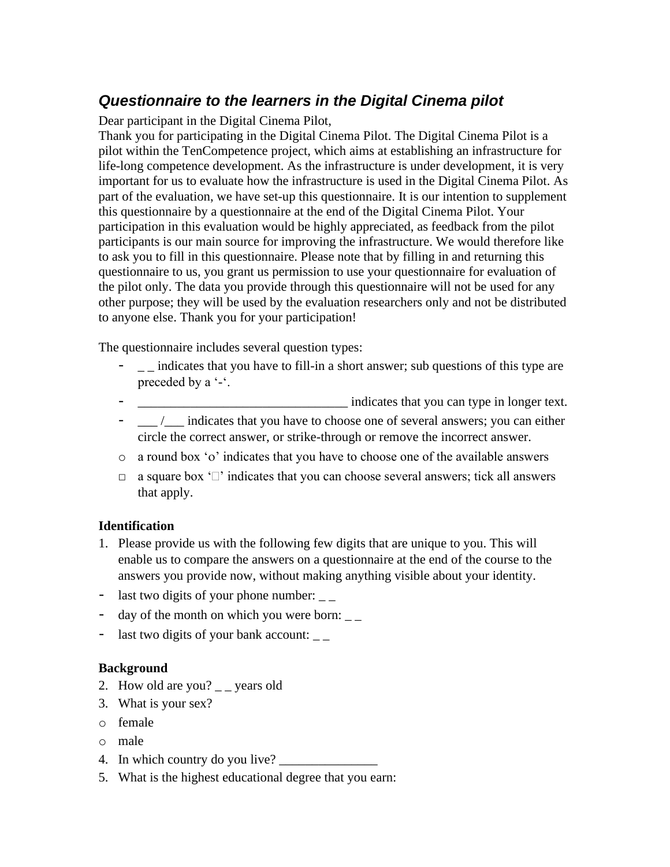### <span id="page-27-0"></span>*Questionnaire to the learners in the Digital Cinema pilot*

Dear participant in the Digital Cinema Pilot,

Thank you for participating in the Digital Cinema Pilot. The Digital Cinema Pilot is a pilot within the TenCompetence project, which aims at establishing an infrastructure for life-long competence development. As the infrastructure is under development, it is very important for us to evaluate how the infrastructure is used in the Digital Cinema Pilot. As part of the evaluation, we have set-up this questionnaire. It is our intention to supplement this questionnaire by a questionnaire at the end of the Digital Cinema Pilot. Your participation in this evaluation would be highly appreciated, as feedback from the pilot participants is our main source for improving the infrastructure. We would therefore like to ask you to fill in this questionnaire. Please note that by filling in and returning this questionnaire to us, you grant us permission to use your questionnaire for evaluation of the pilot only. The data you provide through this questionnaire will not be used for any other purpose; they will be used by the evaluation researchers only and not be distributed to anyone else. Thank you for your participation!

The questionnaire includes several question types:

- $\Box$  indicates that you have to fill-in a short answer; sub questions of this type are preceded by a '-'.
- <u>\_\_\_\_\_\_\_\_\_\_\_\_\_\_\_\_\_\_\_\_\_\_\_\_\_\_\_\_\_\_\_\_</u> indicates that you can type in longer text.
- \_\_\_ /\_\_\_ indicates that you have to choose one of several answers; you can either circle the correct answer, or strike-through or remove the incorrect answer.
- $\circ$  a round box ' $\circ$ ' indicates that you have to choose one of the available answers
- $\Box$  a square box ' $\Box$ ' indicates that you can choose several answers; tick all answers that apply.

#### **Identification**

- 1. Please provide us with the following few digits that are unique to you. This will enable us to compare the answers on a questionnaire at the end of the course to the answers you provide now, without making anything visible about your identity.
- last two digits of your phone number:  $\overline{\phantom{a}}$
- day of the month on which you were born:
- last two digits of your bank account:

#### **Background**

- 2. How old are you?  $\angle$  \_ years old
- 3. What is your sex?
- o female
- o male
- 4. In which country do you live?
- 5. What is the highest educational degree that you earn: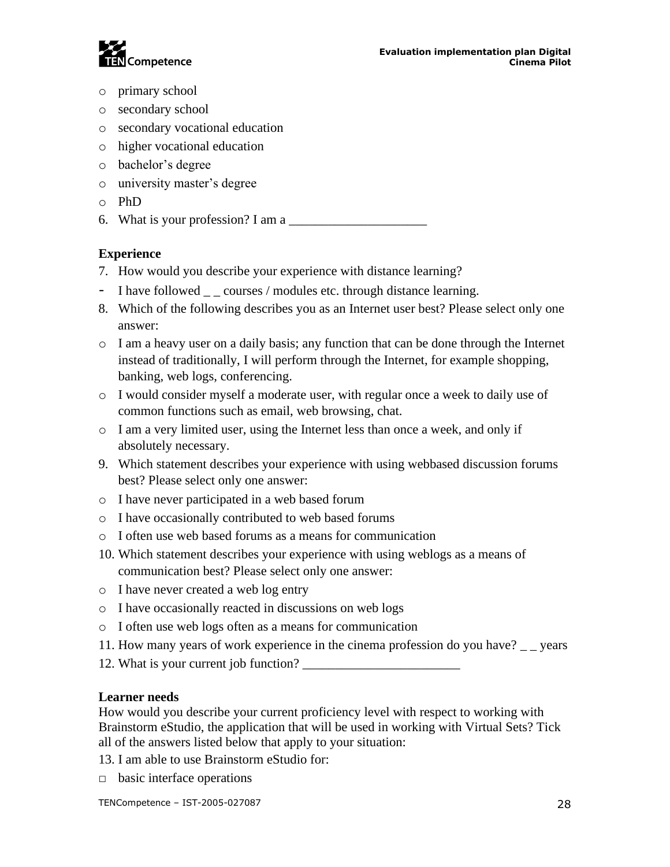

- o primary school
- o secondary school
- o secondary vocational education
- o higher vocational education
- o bachelor's degree
- o university master's degree
- o PhD
- 6. What is your profession? I am a  $\Box$

#### **Experience**

- 7. How would you describe your experience with distance learning?
- I have followed  $\overline{\phantom{a}}$  courses / modules etc. through distance learning.
- 8. Which of the following describes you as an Internet user best? Please select only one answer:
- $\circ$  I am a heavy user on a daily basis; any function that can be done through the Internet instead of traditionally, I will perform through the Internet, for example shopping, banking, web logs, conferencing.
- o I would consider myself a moderate user, with regular once a week to daily use of common functions such as email, web browsing, chat.
- $\circ$  I am a very limited user, using the Internet less than once a week, and only if absolutely necessary.
- 9. Which statement describes your experience with using webbased discussion forums best? Please select only one answer:
- o I have never participated in a web based forum
- o I have occasionally contributed to web based forums
- o I often use web based forums as a means for communication
- 10. Which statement describes your experience with using weblogs as a means of communication best? Please select only one answer:
- o I have never created a web log entry
- o I have occasionally reacted in discussions on web logs
- o I often use web logs often as a means for communication
- 11. How many years of work experience in the cinema profession do you have? \_ \_ years
- 12. What is your current job function?

#### **Learner needs**

How would you describe your current proficiency level with respect to working with Brainstorm eStudio, the application that will be used in working with Virtual Sets? Tick all of the answers listed below that apply to your situation:

- 13. I am able to use Brainstorm eStudio for:
- $\Box$  basic interface operations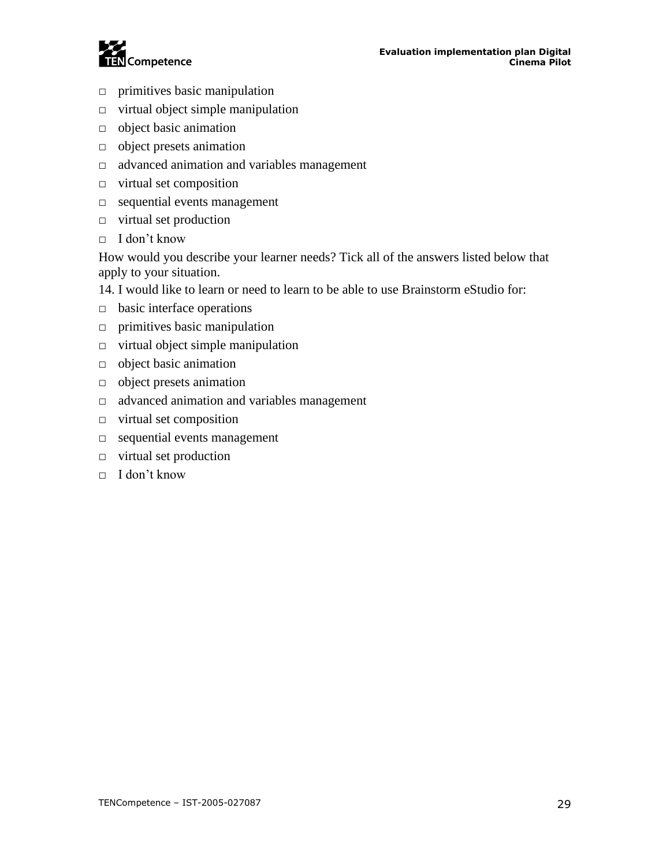

- $\Box$  primitives basic manipulation
- $\Box$  virtual object simple manipulation
- □ object basic animation
- □ object presets animation
- □ advanced animation and variables management
- □ virtual set composition
- □ sequential events management
- □ virtual set production
- □ I don't know

How would you describe your learner needs? Tick all of the answers listed below that apply to your situation.

- 14. I would like to learn or need to learn to be able to use Brainstorm eStudio for:
- □ basic interface operations
- $\Box$  primitives basic manipulation
- $\Box$  virtual object simple manipulation
- □ object basic animation
- □ object presets animation
- □ advanced animation and variables management
- $\Box$  virtual set composition
- □ sequential events management
- □ virtual set production
- $\Box$  I don't know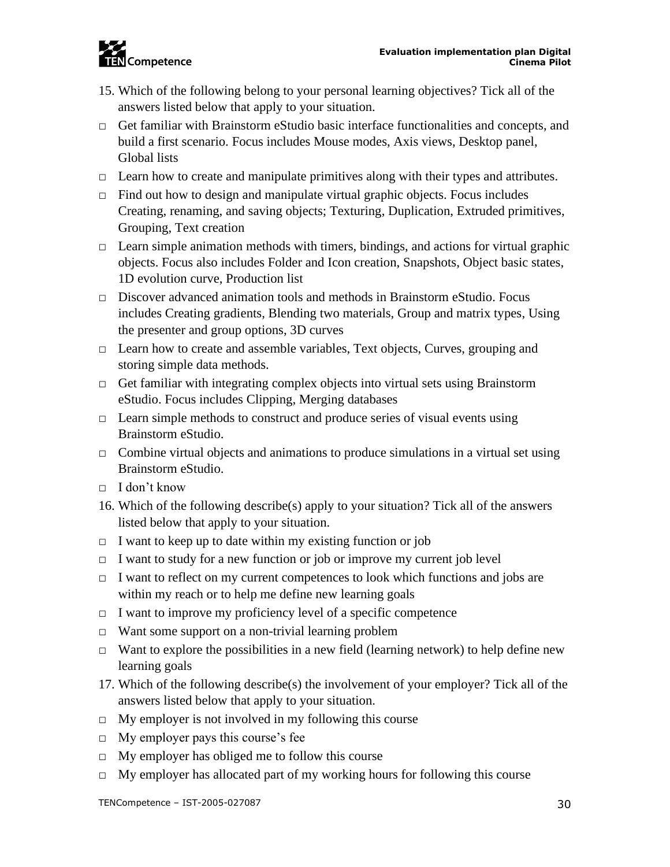

- 15. Which of the following belong to your personal learning objectives? Tick all of the answers listed below that apply to your situation.
- □ Get familiar with Brainstorm eStudio basic interface functionalities and concepts, and build a first scenario. Focus includes Mouse modes, Axis views, Desktop panel, Global lists
- $\Box$  Learn how to create and manipulate primitives along with their types and attributes.
- $\Box$  Find out how to design and manipulate virtual graphic objects. Focus includes Creating, renaming, and saving objects; Texturing, Duplication, Extruded primitives, Grouping, Text creation
- $\Box$  Learn simple animation methods with timers, bindings, and actions for virtual graphic objects. Focus also includes Folder and Icon creation, Snapshots, Object basic states, 1D evolution curve, Production list
- $\Box$  Discover advanced animation tools and methods in Brainstorm eStudio. Focus includes Creating gradients, Blending two materials, Group and matrix types, Using the presenter and group options, 3D curves
- □ Learn how to create and assemble variables, Text objects, Curves, grouping and storing simple data methods.
- $\Box$  Get familiar with integrating complex objects into virtual sets using Brainstorm eStudio. Focus includes Clipping, Merging databases
- $\Box$  Learn simple methods to construct and produce series of visual events using Brainstorm eStudio.
- $\Box$  Combine virtual objects and animations to produce simulations in a virtual set using Brainstorm eStudio.
- □ I don't know
- 16. Which of the following describe(s) apply to your situation? Tick all of the answers listed below that apply to your situation.
- $\Box$  I want to keep up to date within my existing function or job
- $\Box$  I want to study for a new function or job or improve my current job level
- $\Box$  I want to reflect on my current competences to look which functions and jobs are within my reach or to help me define new learning goals
- $\Box$  I want to improve my proficiency level of a specific competence
- □ Want some support on a non-trivial learning problem
- $\Box$  Want to explore the possibilities in a new field (learning network) to help define new learning goals
- 17. Which of the following describe(s) the involvement of your employer? Tick all of the answers listed below that apply to your situation.
- $\Box$  My employer is not involved in my following this course
- □ My employer pays this course's fee
- $\Box$  My employer has obliged me to follow this course
- $\Box$  My employer has allocated part of my working hours for following this course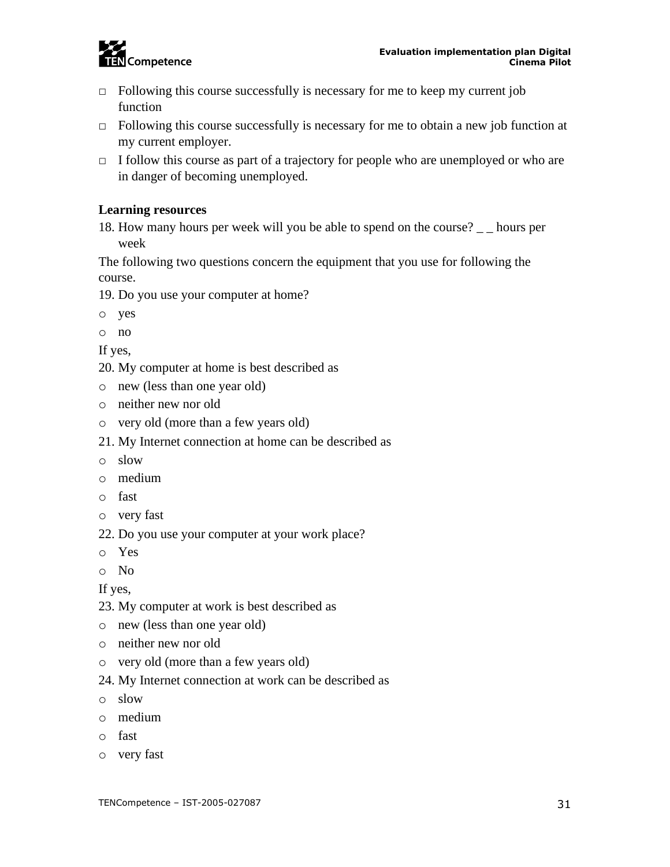

- $\Box$  Following this course successfully is necessary for me to keep my current job function
- $\Box$  Following this course successfully is necessary for me to obtain a new job function at my current employer.
- $\Box$  I follow this course as part of a trajectory for people who are unemployed or who are in danger of becoming unemployed.

#### **Learning resources**

18. How many hours per week will you be able to spend on the course? \_ \_ hours per week

The following two questions concern the equipment that you use for following the course.

- 19. Do you use your computer at home?
- o yes
- o no
- If yes,
- 20. My computer at home is best described as
- o new (less than one year old)
- o neither new nor old
- o very old (more than a few years old)
- 21. My Internet connection at home can be described as
- o slow
- o medium
- o fast
- o very fast
- 22. Do you use your computer at your work place?
- o Yes
- o No

If yes,

- 23. My computer at work is best described as
- o new (less than one year old)
- o neither new nor old
- o very old (more than a few years old)
- 24. My Internet connection at work can be described as
- o slow
- o medium
- o fast
- o very fast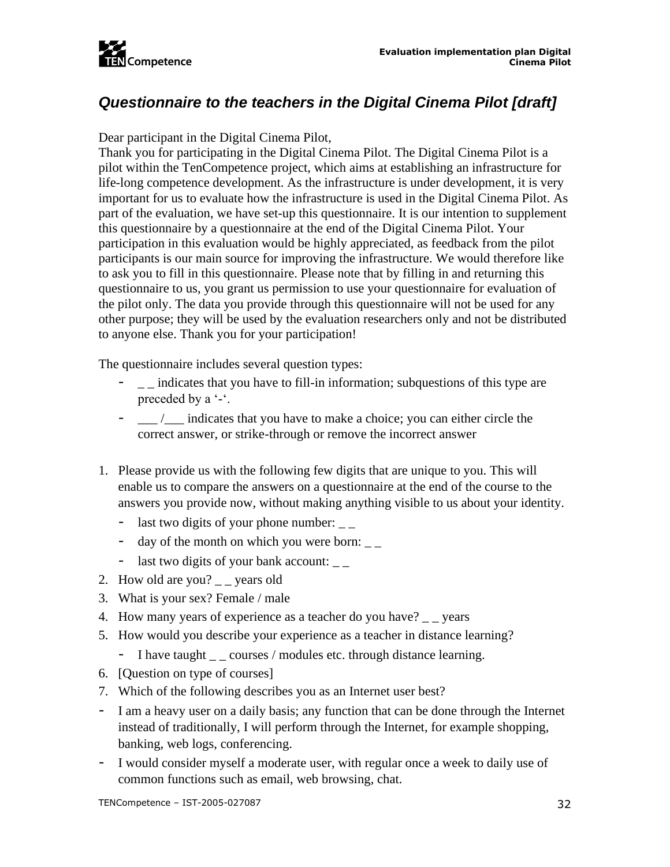

## <span id="page-32-0"></span>*Questionnaire to the teachers in the Digital Cinema Pilot [draft]*

Dear participant in the Digital Cinema Pilot,

Thank you for participating in the Digital Cinema Pilot. The Digital Cinema Pilot is a pilot within the TenCompetence project, which aims at establishing an infrastructure for life-long competence development. As the infrastructure is under development, it is very important for us to evaluate how the infrastructure is used in the Digital Cinema Pilot. As part of the evaluation, we have set-up this questionnaire. It is our intention to supplement this questionnaire by a questionnaire at the end of the Digital Cinema Pilot. Your participation in this evaluation would be highly appreciated, as feedback from the pilot participants is our main source for improving the infrastructure. We would therefore like to ask you to fill in this questionnaire. Please note that by filling in and returning this questionnaire to us, you grant us permission to use your questionnaire for evaluation of the pilot only. The data you provide through this questionnaire will not be used for any other purpose; they will be used by the evaluation researchers only and not be distributed to anyone else. Thank you for your participation!

The questionnaire includes several question types:

- $\Box$  indicates that you have to fill-in information; subquestions of this type are preceded by a '-'.
- \_\_\_ /\_\_\_ indicates that you have to make a choice; you can either circle the correct answer, or strike-through or remove the incorrect answer
- 1. Please provide us with the following few digits that are unique to you. This will enable us to compare the answers on a questionnaire at the end of the course to the answers you provide now, without making anything visible to us about your identity.
	- last two digits of your phone number:  $\overline{\phantom{a}}$
	- day of the month on which you were born:  $\frac{1}{1}$
	- last two digits of your bank account:  $\frac{1}{2}$
- 2. How old are you? vears old
- 3. What is your sex? Female / male
- 4. How many years of experience as a teacher do you have? \_ \_ years
- 5. How would you describe your experience as a teacher in distance learning?
	- I have taught  $\angle$  \_ courses / modules etc. through distance learning.
- 6. [Question on type of courses]
- 7. Which of the following describes you as an Internet user best?
- I am a heavy user on a daily basis; any function that can be done through the Internet instead of traditionally, I will perform through the Internet, for example shopping, banking, web logs, conferencing.
- I would consider myself a moderate user, with regular once a week to daily use of common functions such as email, web browsing, chat.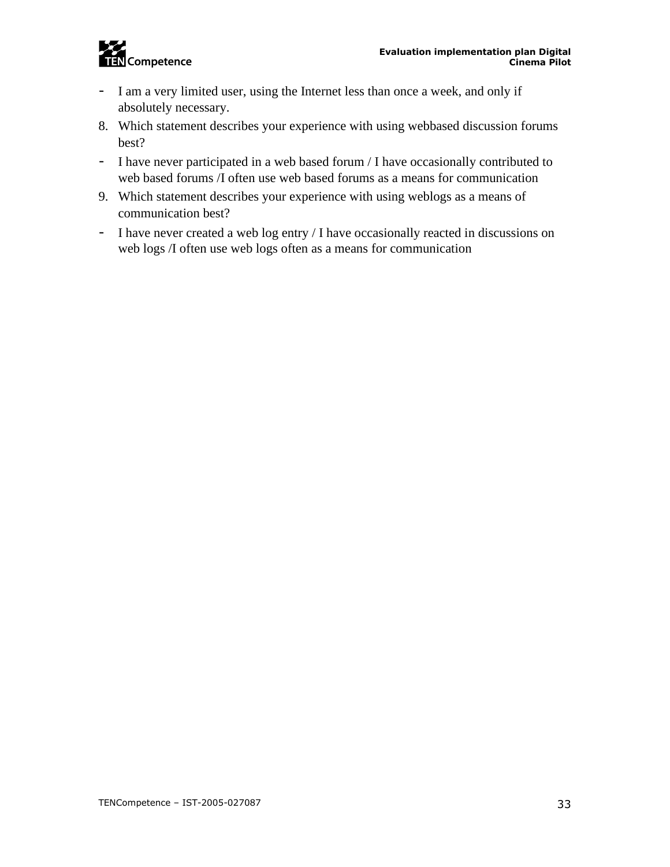

- I am a very limited user, using the Internet less than once a week, and only if absolutely necessary.
- 8. Which statement describes your experience with using webbased discussion forums best?
- I have never participated in a web based forum / I have occasionally contributed to web based forums /I often use web based forums as a means for communication
- 9. Which statement describes your experience with using weblogs as a means of communication best?
- I have never created a web log entry / I have occasionally reacted in discussions on web logs /I often use web logs often as a means for communication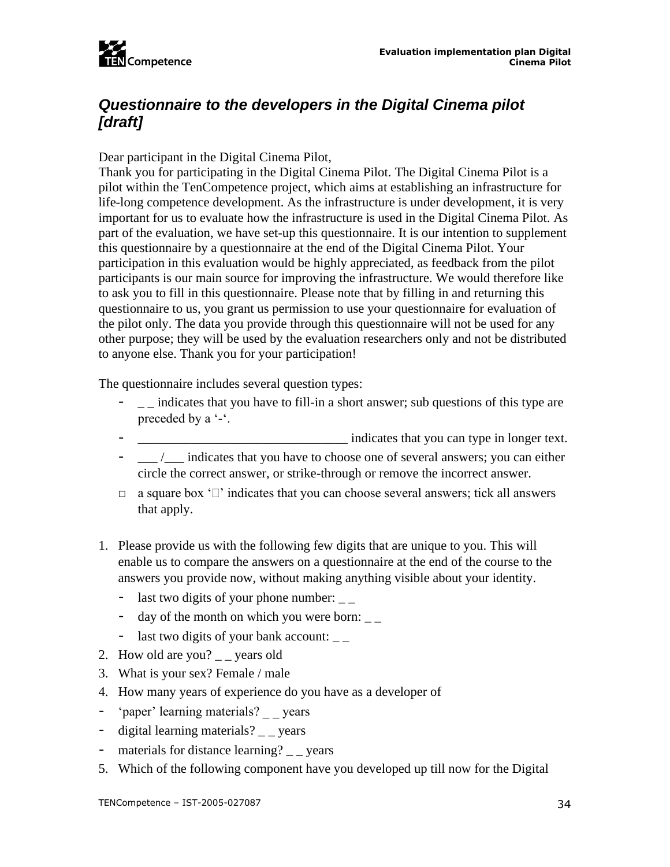

## <span id="page-34-0"></span>*Questionnaire to the developers in the Digital Cinema pilot [draft]*

Dear participant in the Digital Cinema Pilot,

Thank you for participating in the Digital Cinema Pilot. The Digital Cinema Pilot is a pilot within the TenCompetence project, which aims at establishing an infrastructure for life-long competence development. As the infrastructure is under development, it is very important for us to evaluate how the infrastructure is used in the Digital Cinema Pilot. As part of the evaluation, we have set-up this questionnaire. It is our intention to supplement this questionnaire by a questionnaire at the end of the Digital Cinema Pilot. Your participation in this evaluation would be highly appreciated, as feedback from the pilot participants is our main source for improving the infrastructure. We would therefore like to ask you to fill in this questionnaire. Please note that by filling in and returning this questionnaire to us, you grant us permission to use your questionnaire for evaluation of the pilot only. The data you provide through this questionnaire will not be used for any other purpose; they will be used by the evaluation researchers only and not be distributed to anyone else. Thank you for your participation!

The questionnaire includes several question types:

- $\Box$  indicates that you have to fill-in a short answer; sub questions of this type are preceded by a '-'.
- indicates that you can type in longer text.
- $\frac{1}{\sqrt{2}}$  indicates that you have to choose one of several answers; you can either circle the correct answer, or strike-through or remove the incorrect answer.
- $\Box$  a square box ' $\Box$ ' indicates that you can choose several answers; tick all answers that apply.
- 1. Please provide us with the following few digits that are unique to you. This will enable us to compare the answers on a questionnaire at the end of the course to the answers you provide now, without making anything visible about your identity.
	- last two digits of your phone number:
	- day of the month on which you were born:  $\frac{1}{1 \frac{1}{1}}$
	- last two digits of your bank account:  $\overline{\phantom{a}}$
- 2. How old are you?  $\angle$  \_ years old
- 3. What is your sex? Female / male
- 4. How many years of experience do you have as a developer of
- 'paper' learning materials? years
- digital learning materials? \_ \_ years
- materials for distance learning? \_ \_ years
- 5. Which of the following component have you developed up till now for the Digital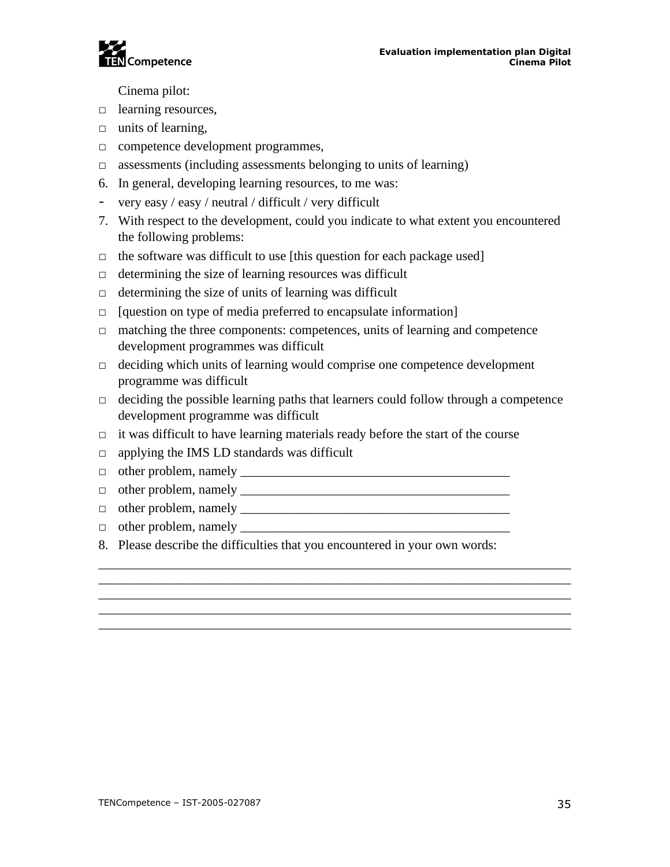

Cinema pilot:

- □ learning resources,
- $\Box$  units of learning,
- □ competence development programmes,
- $\Box$  assessments (including assessments belonging to units of learning)
- 6. In general, developing learning resources, to me was:
- very easy / easy / neutral / difficult / very difficult
- 7. With respect to the development, could you indicate to what extent you encountered the following problems:
- $\Box$  the software was difficult to use [this question for each package used]
- $\Box$  determining the size of learning resources was difficult
- $\Box$  determining the size of units of learning was difficult
- $\Box$  [question on type of media preferred to encapsulate information]
- $\Box$  matching the three components: competences, units of learning and competence development programmes was difficult
- $\Box$  deciding which units of learning would comprise one competence development programme was difficult
- $\Box$  deciding the possible learning paths that learners could follow through a competence development programme was difficult

\_\_\_\_\_\_\_\_\_\_\_\_\_\_\_\_\_\_\_\_\_\_\_\_\_\_\_\_\_\_\_\_\_\_\_\_\_\_\_\_\_\_\_\_\_\_\_\_\_\_\_\_\_\_\_\_\_\_\_\_\_\_\_\_\_\_\_\_\_\_\_\_ \_\_\_\_\_\_\_\_\_\_\_\_\_\_\_\_\_\_\_\_\_\_\_\_\_\_\_\_\_\_\_\_\_\_\_\_\_\_\_\_\_\_\_\_\_\_\_\_\_\_\_\_\_\_\_\_\_\_\_\_\_\_\_\_\_\_\_\_\_\_\_\_

\_\_\_\_\_\_\_\_\_\_\_\_\_\_\_\_\_\_\_\_\_\_\_\_\_\_\_\_\_\_\_\_\_\_\_\_\_\_\_\_\_\_\_\_\_\_\_\_\_\_\_\_\_\_\_\_\_\_\_\_\_\_\_\_\_\_\_\_\_\_\_\_ \_\_\_\_\_\_\_\_\_\_\_\_\_\_\_\_\_\_\_\_\_\_\_\_\_\_\_\_\_\_\_\_\_\_\_\_\_\_\_\_\_\_\_\_\_\_\_\_\_\_\_\_\_\_\_\_\_\_\_\_\_\_\_\_\_\_\_\_\_\_\_\_

- $\Box$  it was difficult to have learning materials ready before the start of the course
- □ applying the IMS LD standards was difficult
- □ other problem, namely \_\_\_\_\_\_\_\_\_\_\_\_\_\_\_\_\_\_\_\_\_\_\_\_\_\_\_\_\_\_\_\_\_\_\_\_\_\_\_\_\_
- □ other problem, namely \_\_\_\_\_\_\_\_\_\_\_\_\_\_\_\_\_\_\_\_\_\_\_\_\_\_\_\_\_\_\_\_\_\_\_\_\_\_\_\_\_
- □ other problem, namely \_\_\_\_\_\_\_\_\_\_\_\_\_\_\_\_\_\_\_\_\_\_\_\_\_\_\_\_\_\_\_\_\_\_\_\_\_\_\_\_\_
- $\Box$  other problem, namely  $\Box$
- 8. Please describe the difficulties that you encountered in your own words: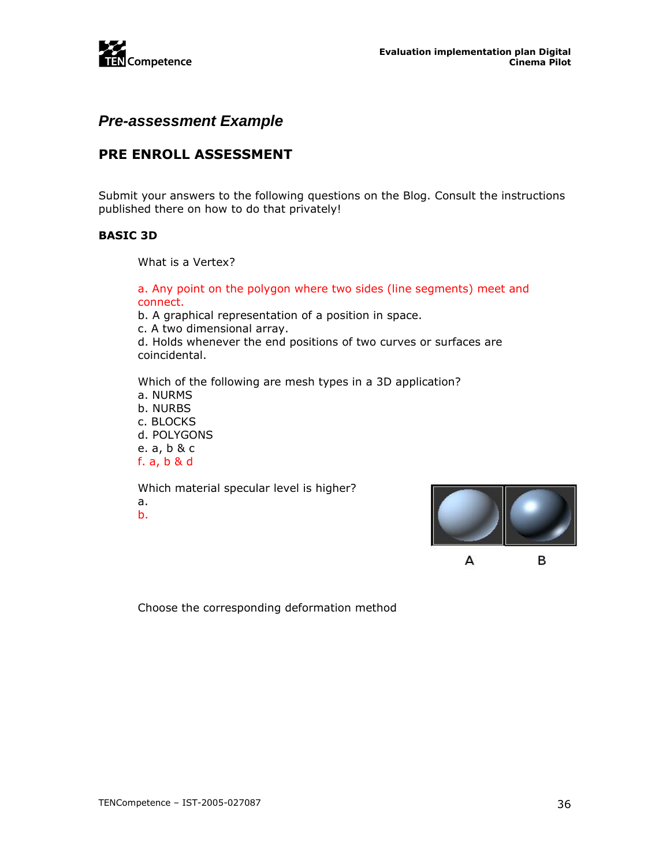

### <span id="page-36-0"></span>*Pre-assessment Example*

### **PRE ENROLL ASSESSMENT**

Submit your answers to the following questions on the Blog. Consult the instructions published there on how to do that privately!

#### **BASIC 3D**

What is a Vertex?

a. Any point on the polygon where two sides (line segments) meet and connect.

b. A graphical representation of a position in space.

c. A two dimensional array.

d. Holds whenever the end positions of two curves or surfaces are coincidental.

Which of the following are mesh types in a 3D application? a. NURMS

b. NURBS c. BLOCKS d. POLYGONS e. a, b & c f. a, b & d

Which material specular level is higher? a. b.



А

в

Choose the corresponding deformation method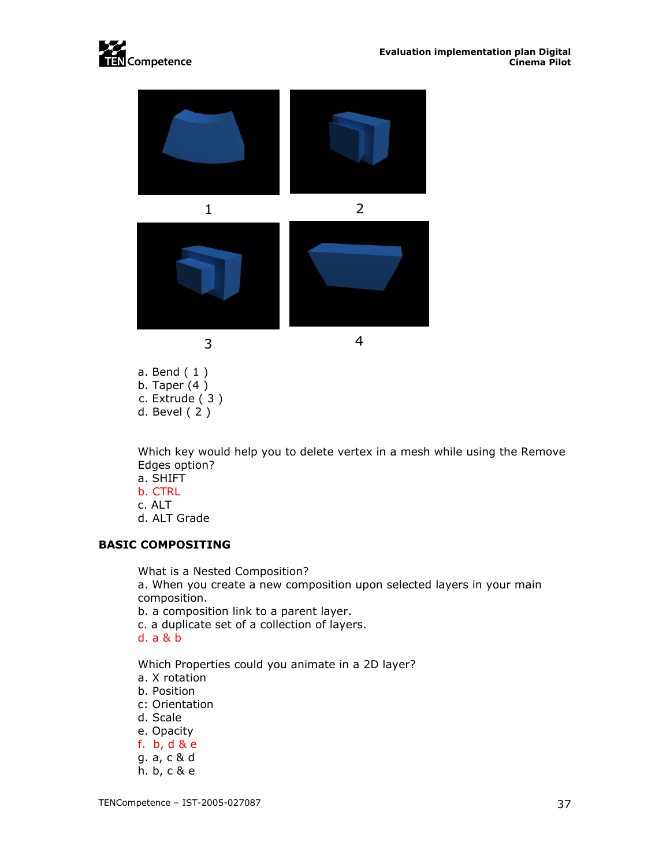





a. Bend ( 1 ) b. Taper (4 ) c. Extrude ( 3 ) d. Bevel ( 2 )

Which key would help you to delete vertex in a mesh while using the Remove Edges option?

- a. SHIFT
- b. CTRL
- c. ALT
- d. ALT Grade

#### **BASIC COMPOSITING**

What is a Nested Composition?

a. When you create a new composition upon selected layers in your main composition.

b. a composition link to a parent layer.

c. a duplicate set of a collection of layers.

d. a & b

Which Properties could you animate in a 2D layer?

- a. X rotation
- b. Position
- c: Orientation
- d. Scale
- e. Opacity
- f. b, d & e
- g. a, c & d
- h. b, c & e